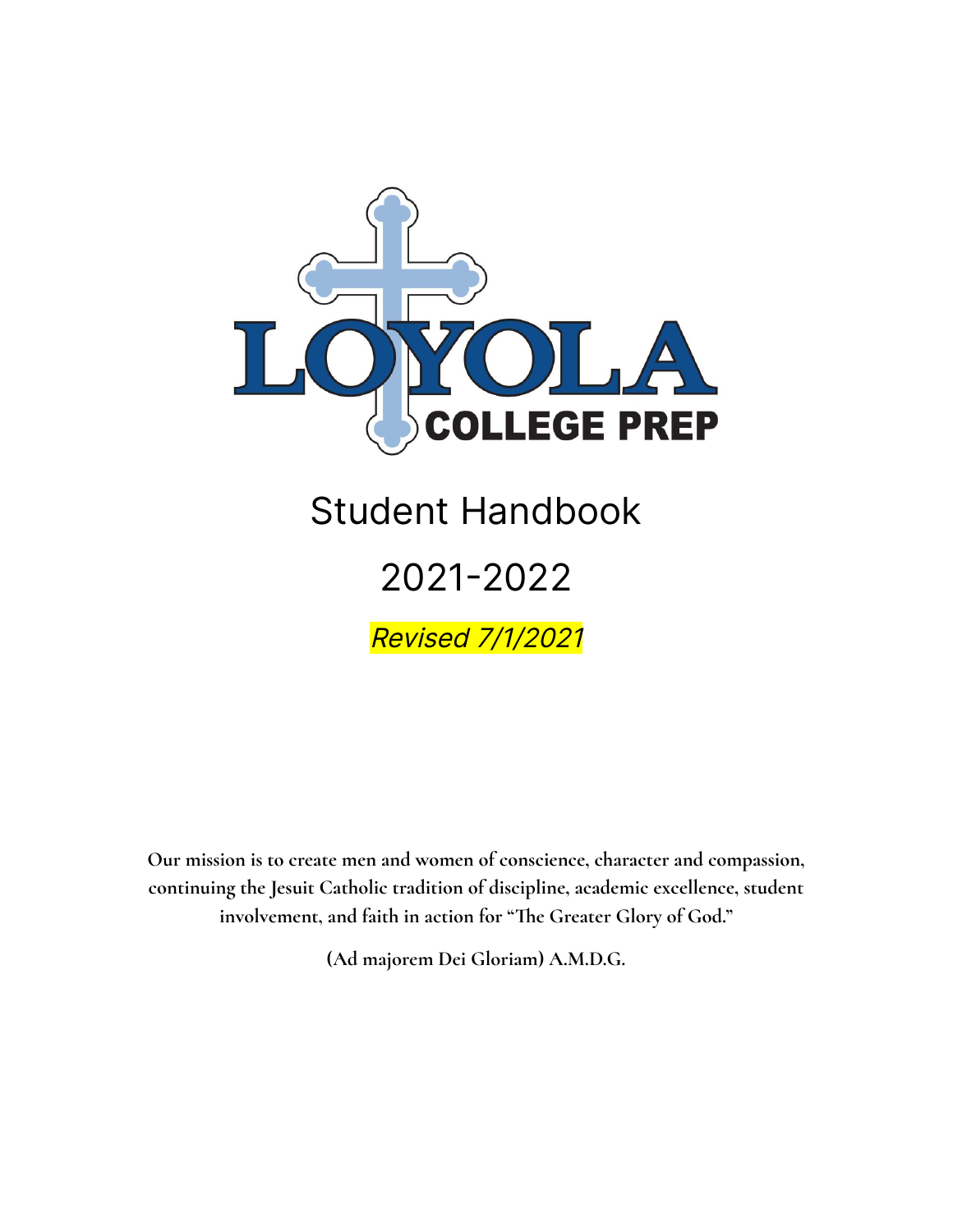

# Student Handbook

# 2021-2022

Revised 7/1/2021

**Our mission is to create men and women of conscience, character and compassion, continuing the Jesuit Catholic tradition of discipline, academic excellence, student involvement, and faith in action for "The Greater Glory of God."**

**(Ad majorem Dei Gloriam) A.M.D.G.**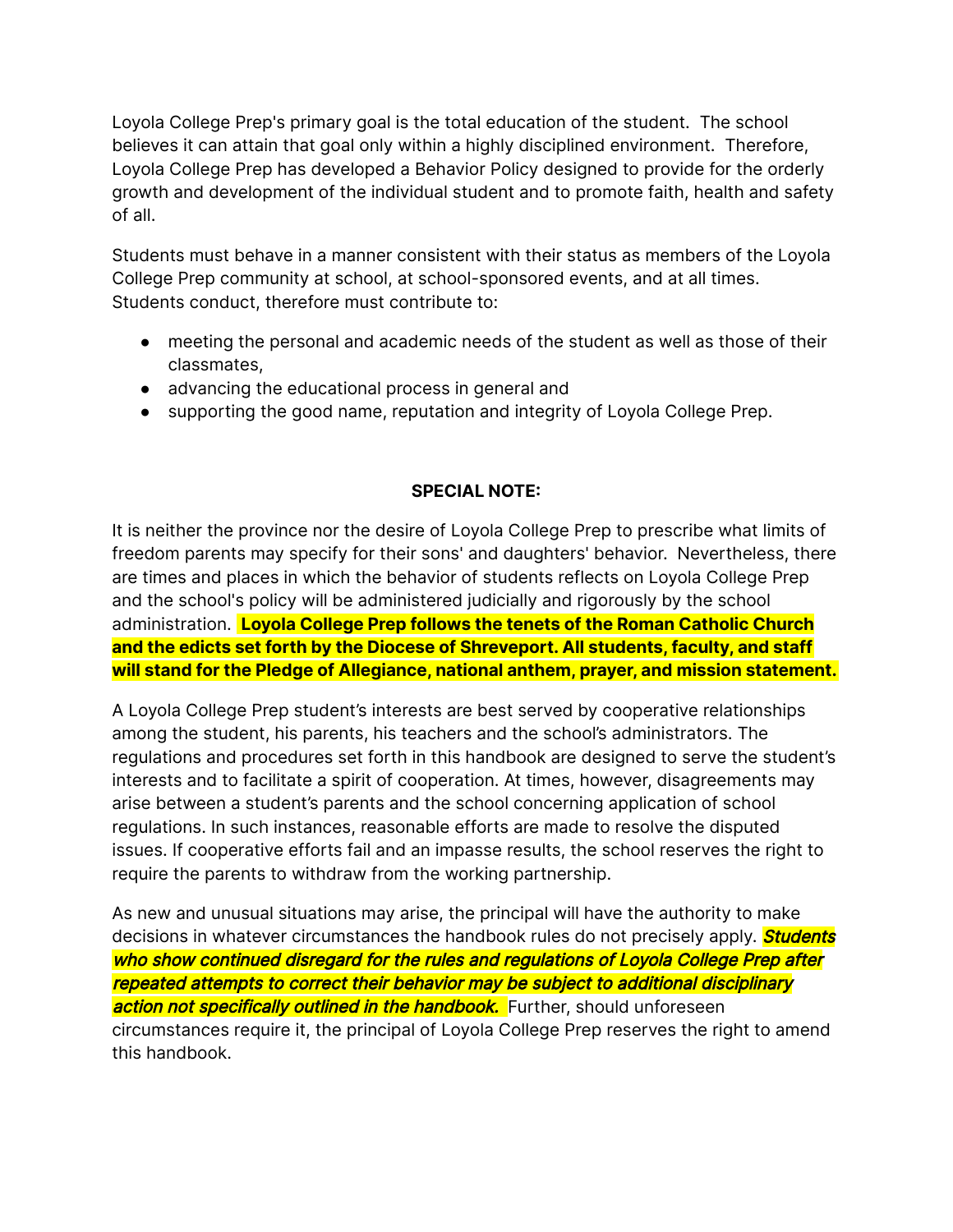Loyola College Prep's primary goal is the total education of the student. The school believes it can attain that goal only within a highly disciplined environment. Therefore, Loyola College Prep has developed a Behavior Policy designed to provide for the orderly growth and development of the individual student and to promote faith, health and safety of all.

Students must behave in a manner consistent with their status as members of the Loyola College Prep community at school, at school-sponsored events, and at all times. Students conduct, therefore must contribute to:

- meeting the personal and academic needs of the student as well as those of their classmates,
- advancing the educational process in general and
- supporting the good name, reputation and integrity of Loyola College Prep.

#### **SPECIAL NOTE:**

It is neither the province nor the desire of Loyola College Prep to prescribe what limits of freedom parents may specify for their sons' and daughters' behavior. Nevertheless, there are times and places in which the behavior of students reflects on Loyola College Prep and the school's policy will be administered judicially and rigorously by the school administration. **Loyola College Prep follows the tenets of the Roman Catholic Church and the edicts set forth by the Diocese of Shreveport. All students, faculty, and staff will stand for the Pledge of Allegiance, national anthem, prayer, and mission statement.**

A Loyola College Prep student's interests are best served by cooperative relationships among the student, his parents, his teachers and the school's administrators. The regulations and procedures set forth in this handbook are designed to serve the student's interests and to facilitate a spirit of cooperation. At times, however, disagreements may arise between a student's parents and the school concerning application of school regulations. In such instances, reasonable efforts are made to resolve the disputed issues. If cooperative efforts fail and an impasse results, the school reserves the right to require the parents to withdraw from the working partnership.

As new and unusual situations may arise, the principal will have the authority to make decisions in whatever circumstances the handbook rules do not precisely apply. **Students** who show continued disregard for the rules and regulations of Loyola College Prep after repeated attempts to correct their behavior may be subject to additional disciplinary action not specifically outlined in the handbook. Further, should unforeseen circumstances require it, the principal of Loyola College Prep reserves the right to amend this handbook.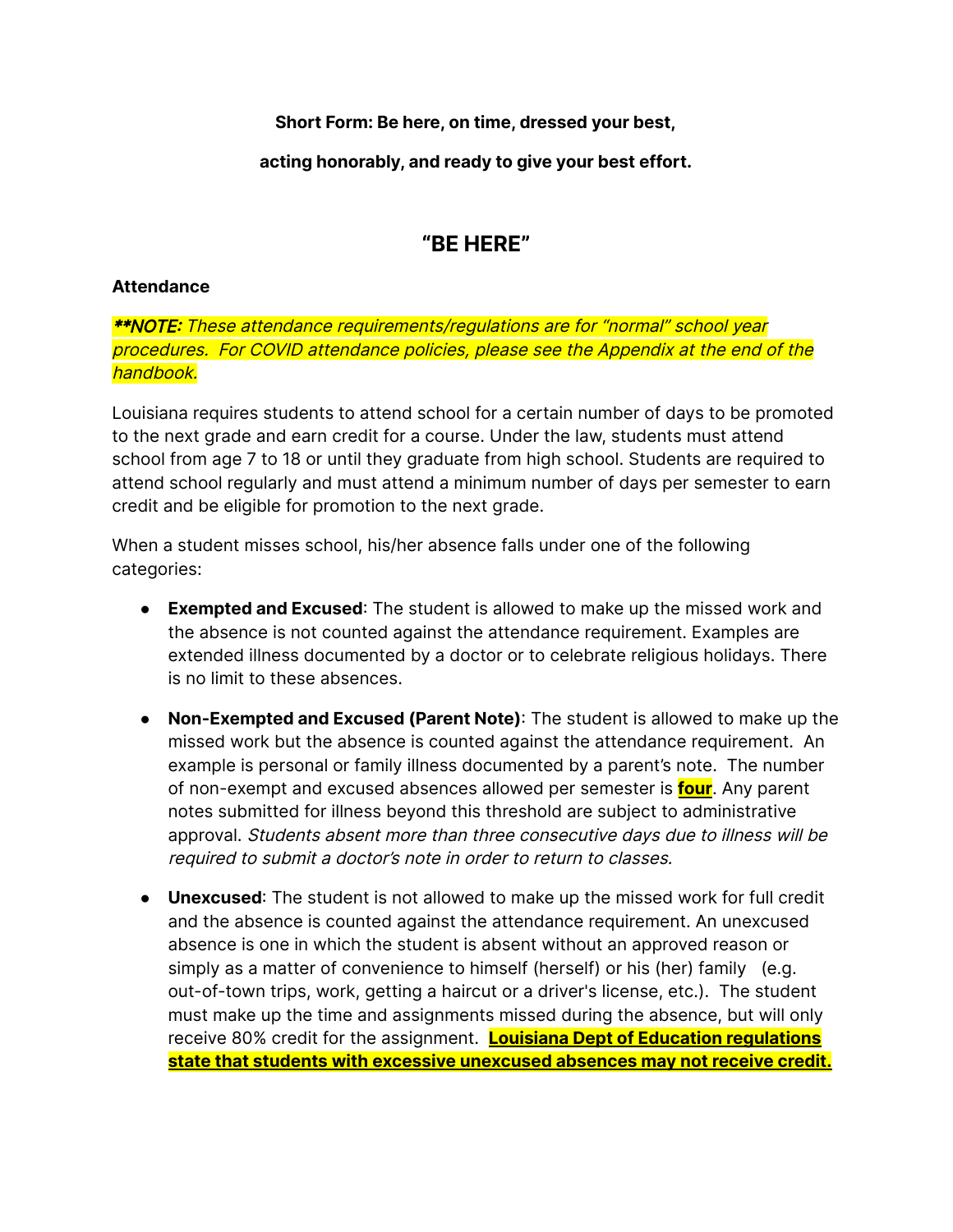**Short Form: Be here, on time, dressed your best,**

**acting honorably, and ready to give your best effort.**

### **"BE HERE"**

#### **Attendance**

\*\*NOTE: These attendance requirements/regulations are for "normal" school year procedures. For COVID attendance policies, please see the Appendix at the end of the handbook.

Louisiana requires students to attend school for a certain number of days to be promoted to the next grade and earn credit for a course. Under the law, students must attend school from age 7 to 18 or until they graduate from high school. Students are required to attend school regularly and must attend a minimum number of days per semester to earn credit and be eligible for promotion to the next grade.

When a student misses school, his/her absence falls under one of the following categories:

- **Exempted and Excused**: The student is allowed to make up the missed work and the absence is not counted against the attendance requirement. Examples are extended illness documented by a doctor or to celebrate religious holidays. There is no limit to these absences.
- **Non-Exempted and Excused (Parent Note)**: The student is allowed to make up the missed work but the absence is counted against the attendance requirement. An example is personal or family illness documented by a parent's note. The number of non-exempt and excused absences allowed per semester is **four**. Any parent notes submitted for illness beyond this threshold are subject to administrative approval. Students absent more than three consecutive days due to illness will be required to submit <sup>a</sup> doctor's note in order to return to classes.
- **Unexcused**: The student is not allowed to make up the missed work for full credit and the absence is counted against the attendance requirement. An unexcused absence is one in which the student is absent without an approved reason or simply as a matter of convenience to himself (herself) or his (her) family (e.g. out-of-town trips, work, getting a haircut or a driver's license, etc.). The student must make up the time and assignments missed during the absence, but will only receive 80% credit for the assignment. **Louisiana Dept of Education regulations state that students with excessive unexcused absences may not receive credit.**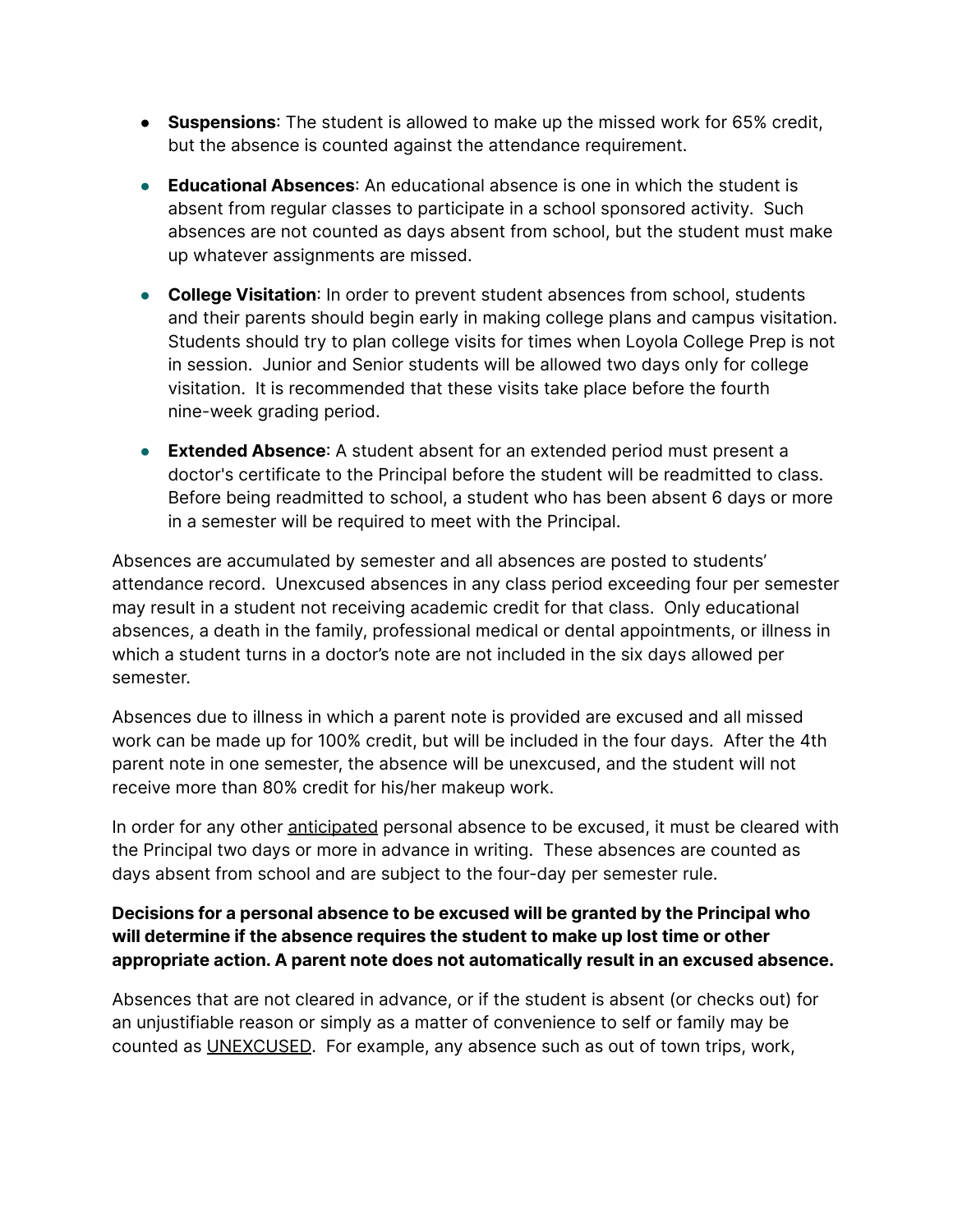- **Suspensions**: The student is allowed to make up the missed work for 65% credit, but the absence is counted against the attendance requirement.
- **Educational Absences**: An educational absence is one in which the student is absent from regular classes to participate in a school sponsored activity. Such absences are not counted as days absent from school, but the student must make up whatever assignments are missed.
- **College Visitation**: In order to prevent student absences from school, students and their parents should begin early in making college plans and campus visitation. Students should try to plan college visits for times when Loyola College Prep is not in session. Junior and Senior students will be allowed two days only for college visitation. It is recommended that these visits take place before the fourth nine-week grading period.
- **Extended Absence**: A student absent for an extended period must present a doctor's certificate to the Principal before the student will be readmitted to class. Before being readmitted to school, a student who has been absent 6 days or more in a semester will be required to meet with the Principal.

Absences are accumulated by semester and all absences are posted to students' attendance record. Unexcused absences in any class period exceeding four per semester may result in a student not receiving academic credit for that class. Only educational absences, a death in the family, professional medical or dental appointments, or illness in which a student turns in a doctor's note are not included in the six days allowed per semester.

Absences due to illness in which a parent note is provided are excused and all missed work can be made up for 100% credit, but will be included in the four days. After the 4th parent note in one semester, the absence will be unexcused, and the student will not receive more than 80% credit for his/her makeup work.

In order for any other anticipated personal absence to be excused, it must be cleared with the Principal two days or more in advance in writing. These absences are counted as days absent from school and are subject to the four-day per semester rule.

#### **Decisions for a personal absence to be excused will be granted by the Principal who will determine if the absence requires the student to make up lost time or other appropriate action. A parent note does not automatically result in an excused absence.**

Absences that are not cleared in advance, or if the student is absent (or checks out) for an unjustifiable reason or simply as a matter of convenience to self or family may be counted as UNEXCUSED. For example, any absence such as out of town trips, work,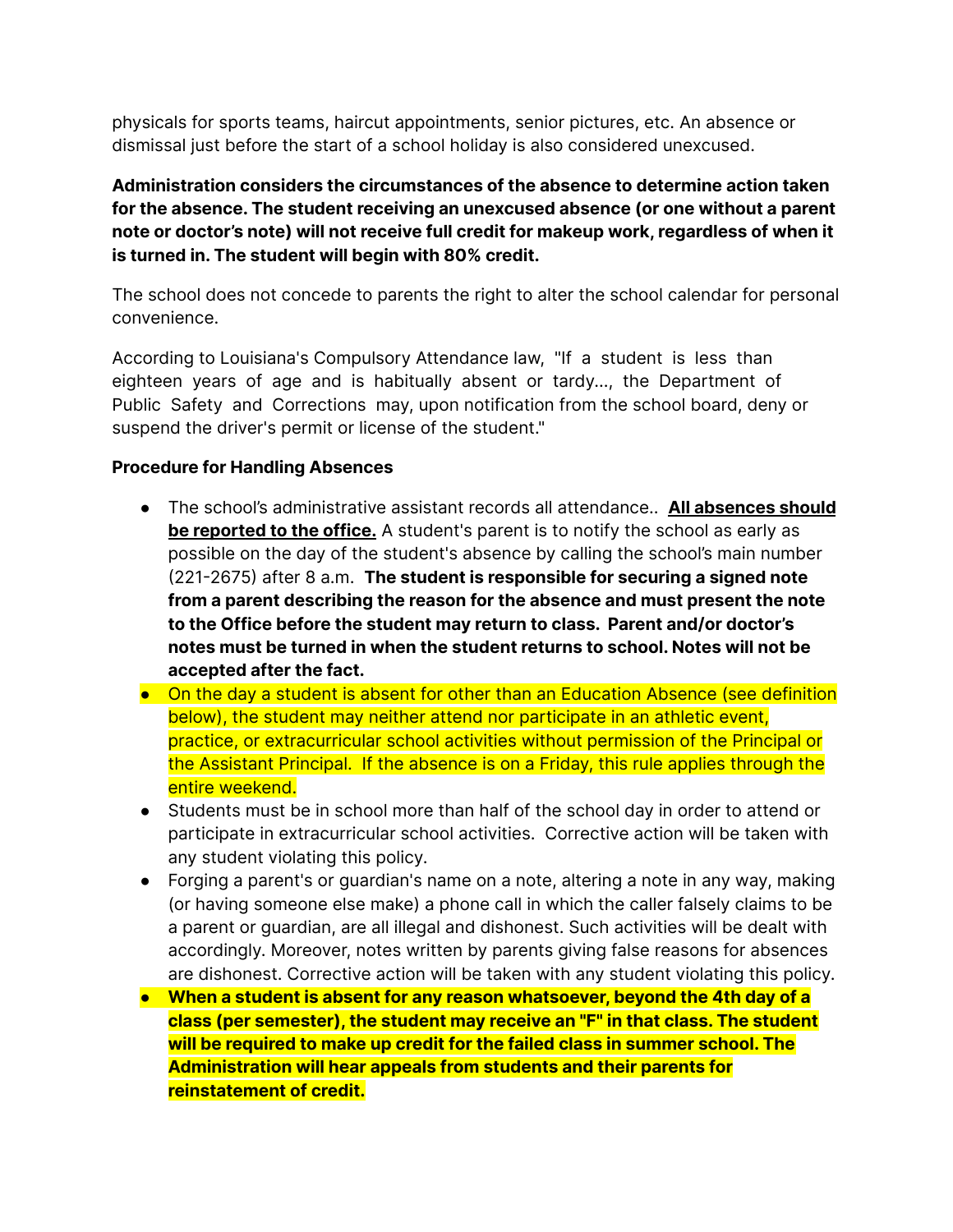physicals for sports teams, haircut appointments, senior pictures, etc. An absence or dismissal just before the start of a school holiday is also considered unexcused.

**Administration considers the circumstances of the absence to determine action taken for the absence. The student receiving an unexcused absence (or one without a parent note or doctor's note) will not receive full credit for makeup work, regardless of when it is turned in. The student will begin with 80% credit.**

The school does not concede to parents the right to alter the school calendar for personal convenience.

According to Louisiana's Compulsory Attendance law, "If a student is less than eighteen years of age and is habitually absent or tardy..., the Department of Public Safety and Corrections may, upon notification from the school board, deny or suspend the driver's permit or license of the student."

#### **Procedure for Handling Absences**

- The school's administrative assistant records all attendance.. **All absences should be reported to the office.** A student's parent is to notify the school as early as possible on the day of the student's absence by calling the school's main number (221-2675) after 8 a.m. **The student is responsible for securing a signed note from a parent describing the reason for the absence and must present the note to the Office before the student may return to class. Parent and/or doctor's notes must be turned in when the student returns to school. Notes will not be accepted after the fact.**
- On the day a student is absent for other than an Education Absence (see definition below), the student may neither attend nor participate in an athletic event, practice, or extracurricular school activities without permission of the Principal or the Assistant Principal. If the absence is on a Friday, this rule applies through the entire weekend.
- Students must be in school more than half of the school day in order to attend or participate in extracurricular school activities. Corrective action will be taken with any student violating this policy.
- Forging a parent's or guardian's name on a note, altering a note in any way, making (or having someone else make) a phone call in which the caller falsely claims to be a parent or guardian, are all illegal and dishonest. Such activities will be dealt with accordingly. Moreover, notes written by parents giving false reasons for absences are dishonest. Corrective action will be taken with any student violating this policy.
- **● When a student is absent for any reason whatsoever, beyond the 4th day of a class (per semester), the student may receive an "F" in that class. The student will be required to make up credit for the failed class in summer school. The Administration will hear appeals from students and their parents for reinstatement of credit.**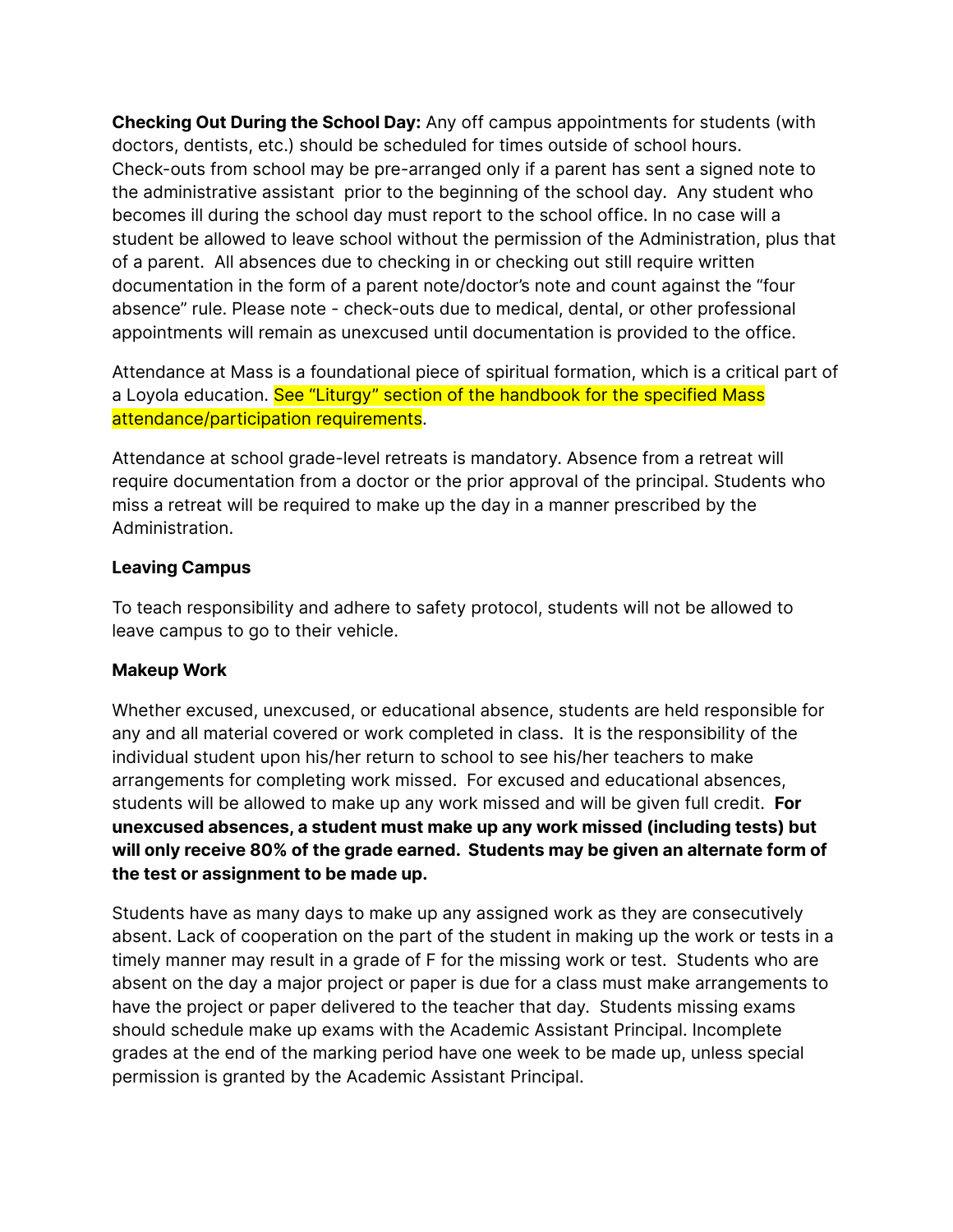**Checking Out During the School Day:** Any off campus appointments for students (with doctors, dentists, etc.) should be scheduled for times outside of school hours. Check-outs from school may be pre-arranged only if a parent has sent a signed note to the administrative assistant prior to the beginning of the school day. Any student who becomes ill during the school day must report to the school office. In no case will a student be allowed to leave school without the permission of the Administration, plus that of a parent. All absences due to checking in or checking out still require written documentation in the form of a parent note/doctor's note and count against the "four absence" rule. Please note - check-outs due to medical, dental, or other professional appointments will remain as unexcused until documentation is provided to the office.

Attendance at Mass is a foundational piece of spiritual formation, which is a critical part of a Loyola education. See "Liturgy" section of the handbook for the specified Mass attendance/participation requirements.

Attendance at school grade-level retreats is mandatory. Absence from a retreat will require documentation from a doctor or the prior approval of the principal. Students who miss a retreat will be required to make up the day in a manner prescribed by the Administration.

#### **Leaving Campus**

To teach responsibility and adhere to safety protocol, students will not be allowed to leave campus to go to their vehicle.

#### **Makeup Work**

Whether excused, unexcused, or educational absence, students are held responsible for any and all material covered or work completed in class. It is the responsibility of the individual student upon his/her return to school to see his/her teachers to make arrangements for completing work missed. For excused and educational absences, students will be allowed to make up any work missed and will be given full credit. **For unexcused absences, a student must make up any work missed (including tests) but will only receive 80% of the grade earned. Students may be given an alternate form of the test or assignment to be made up.**

Students have as many days to make up any assigned work as they are consecutively absent. Lack of cooperation on the part of the student in making up the work or tests in a timely manner may result in a grade of F for the missing work or test. Students who are absent on the day a major project or paper is due for a class must make arrangements to have the project or paper delivered to the teacher that day. Students missing exams should schedule make up exams with the Academic Assistant Principal. Incomplete grades at the end of the marking period have one week to be made up, unless special permission is granted by the Academic Assistant Principal.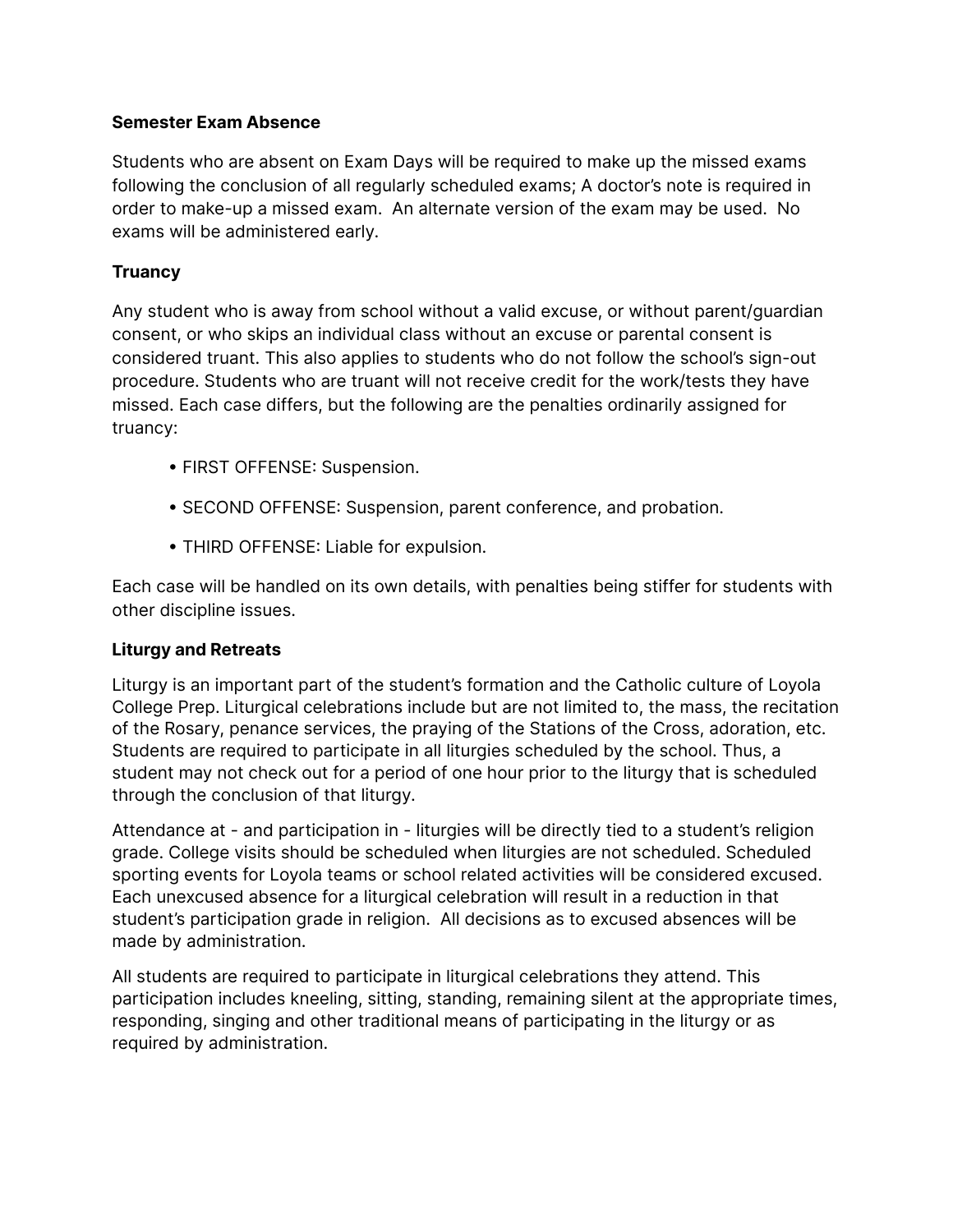#### **Semester Exam Absence**

Students who are absent on Exam Days will be required to make up the missed exams following the conclusion of all regularly scheduled exams; A doctor's note is required in order to make-up a missed exam. An alternate version of the exam may be used. No exams will be administered early.

#### **Truancy**

Any student who is away from school without a valid excuse, or without parent/guardian consent, or who skips an individual class without an excuse or parental consent is considered truant. This also applies to students who do not follow the school's sign-out procedure. Students who are truant will not receive credit for the work/tests they have missed. Each case differs, but the following are the penalties ordinarily assigned for truancy:

- FIRST OFFENSE: Suspension.
- SECOND OFFENSE: Suspension, parent conference, and probation.
- THIRD OFFENSE: Liable for expulsion.

Each case will be handled on its own details, with penalties being stiffer for students with other discipline issues.

#### **Liturgy and Retreats**

Liturgy is an important part of the student's formation and the Catholic culture of Loyola College Prep. Liturgical celebrations include but are not limited to, the mass, the recitation of the Rosary, penance services, the praying of the Stations of the Cross, adoration, etc. Students are required to participate in all liturgies scheduled by the school. Thus, a student may not check out for a period of one hour prior to the liturgy that is scheduled through the conclusion of that liturgy.

Attendance at - and participation in - liturgies will be directly tied to a student's religion grade. College visits should be scheduled when liturgies are not scheduled. Scheduled sporting events for Loyola teams or school related activities will be considered excused. Each unexcused absence for a liturgical celebration will result in a reduction in that student's participation grade in religion. All decisions as to excused absences will be made by administration.

All students are required to participate in liturgical celebrations they attend. This participation includes kneeling, sitting, standing, remaining silent at the appropriate times, responding, singing and other traditional means of participating in the liturgy or as required by administration.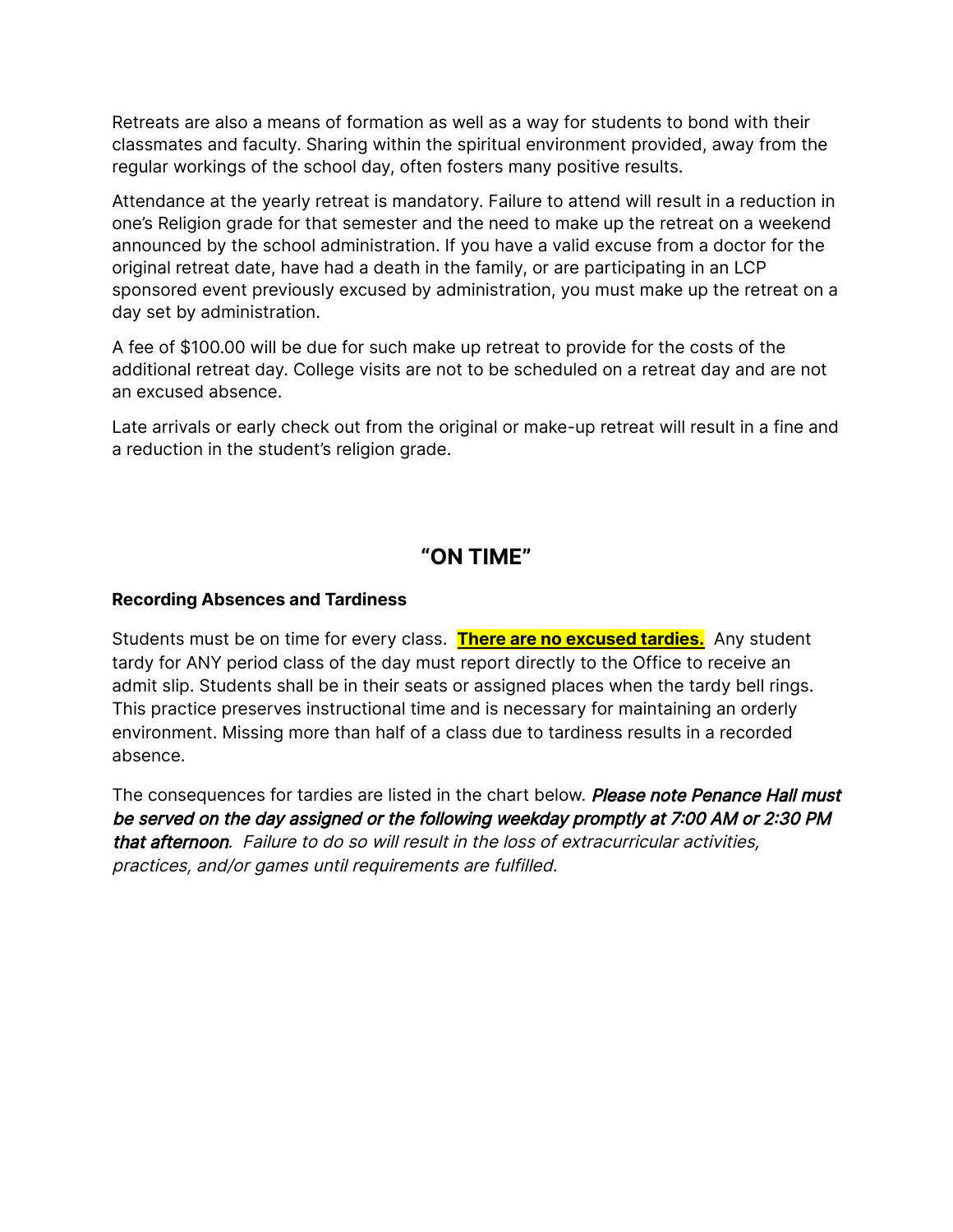Retreats are also a means of formation as well as a way for students to bond with their classmates and faculty. Sharing within the spiritual environment provided, away from the regular workings of the school day, often fosters many positive results.

Attendance at the yearly retreat is mandatory. Failure to attend will result in a reduction in one's Religion grade for that semester and the need to make up the retreat on a weekend announced by the school administration. If you have a valid excuse from a doctor for the original retreat date, have had a death in the family, or are participating in an LCP sponsored event previously excused by administration, you must make up the retreat on a day set by administration.

A fee of \$100.00 will be due for such make up retreat to provide for the costs of the additional retreat day. College visits are not to be scheduled on a retreat day and are not an excused absence.

Late arrivals or early check out from the original or make-up retreat will result in a fine and a reduction in the student's religion grade.

# **"ON TIME"**

#### **Recording Absences and Tardiness**

Students must be on time for every class. **There are no excused tardies.** Any student tardy for ANY period class of the day must report directly to the Office to receive an admit slip. Students shall be in their seats or assigned places when the tardy bell rings. This practice preserves instructional time and is necessary for maintaining an orderly environment. Missing more than half of a class due to tardiness results in a recorded absence.

The consequences for tardies are listed in the chart below. Please note Penance Hall must be served on the day assigned or the following weekday promptly at 7:00 AM or 2:30 PM that afternoon. Failure to do so will result in the loss of extracurricular activities, practices, and/or games until requirements are fulfilled.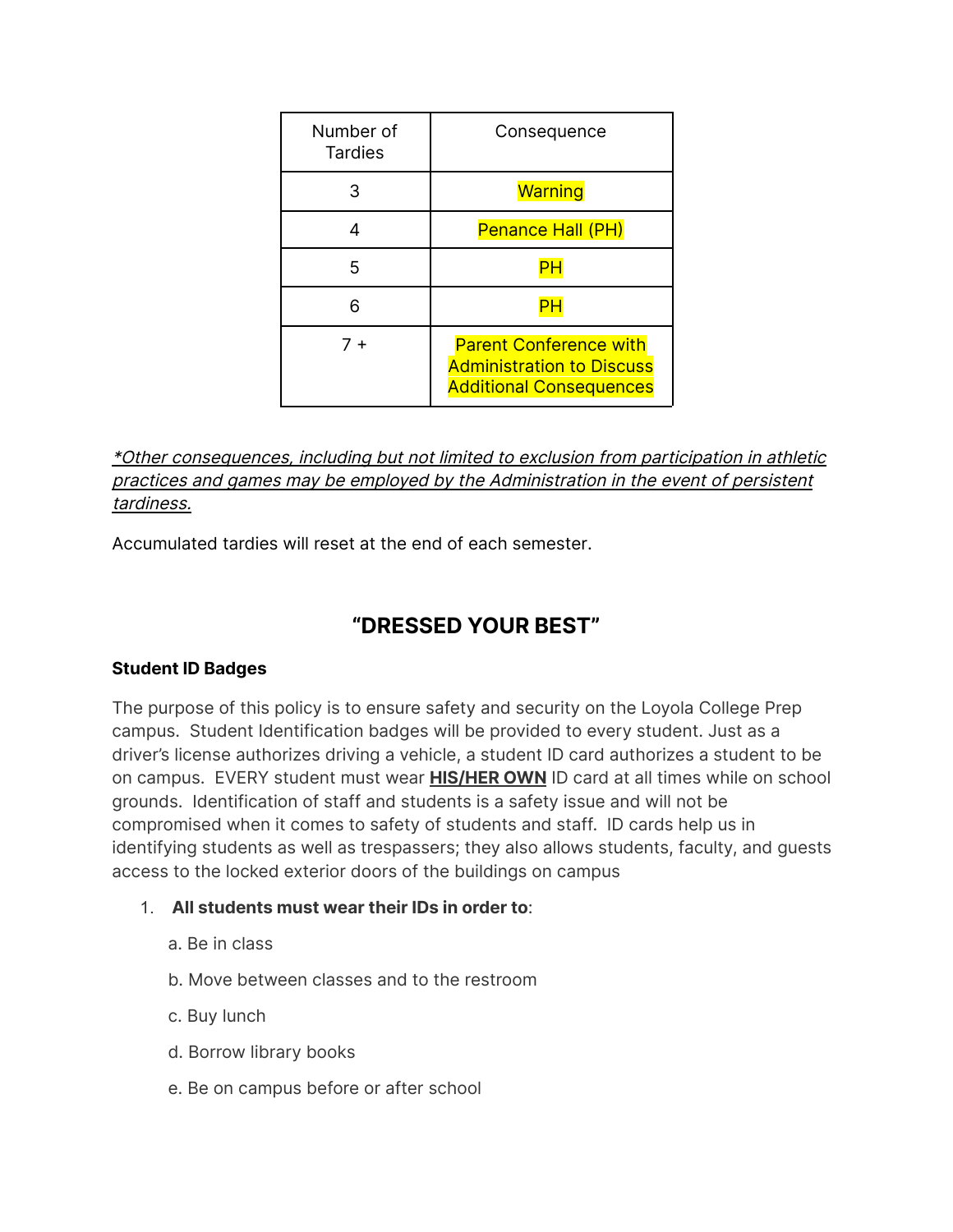| Number of<br><b>Tardies</b> | Consequence                                                                                         |
|-----------------------------|-----------------------------------------------------------------------------------------------------|
| 3                           | Warning                                                                                             |
|                             | Penance Hall (PH)                                                                                   |
| 5                           |                                                                                                     |
| 6                           |                                                                                                     |
| $7 +$                       | <b>Parent Conference with</b><br><b>Administration to Discuss</b><br><b>Additional Consequences</b> |

#### \*Other consequences, including but not limited to exclusion from participation in athletic practices and games may be employed by the Administration in the event of persistent tardiness.

Accumulated tardies will reset at the end of each semester.

# **"DRESSED YOUR BEST"**

#### **Student ID Badges**

The purpose of this policy is to ensure safety and security on the Loyola College Prep campus. Student Identification badges will be provided to every student. Just as a driver's license authorizes driving a vehicle, a student ID card authorizes a student to be on campus. EVERY student must wear **HIS/HER OWN** ID card at all times while on school grounds. Identification of staff and students is a safety issue and will not be compromised when it comes to safety of students and staff. ID cards help us in identifying students as well as trespassers; they also allows students, faculty, and guests access to the locked exterior doors of the buildings on campus

- 1. **All students must wear their IDs in order to**:
	- a. Be in class
	- b. Move between classes and to the restroom
	- c. Buy lunch
	- d. Borrow library books
	- e. Be on campus before or after school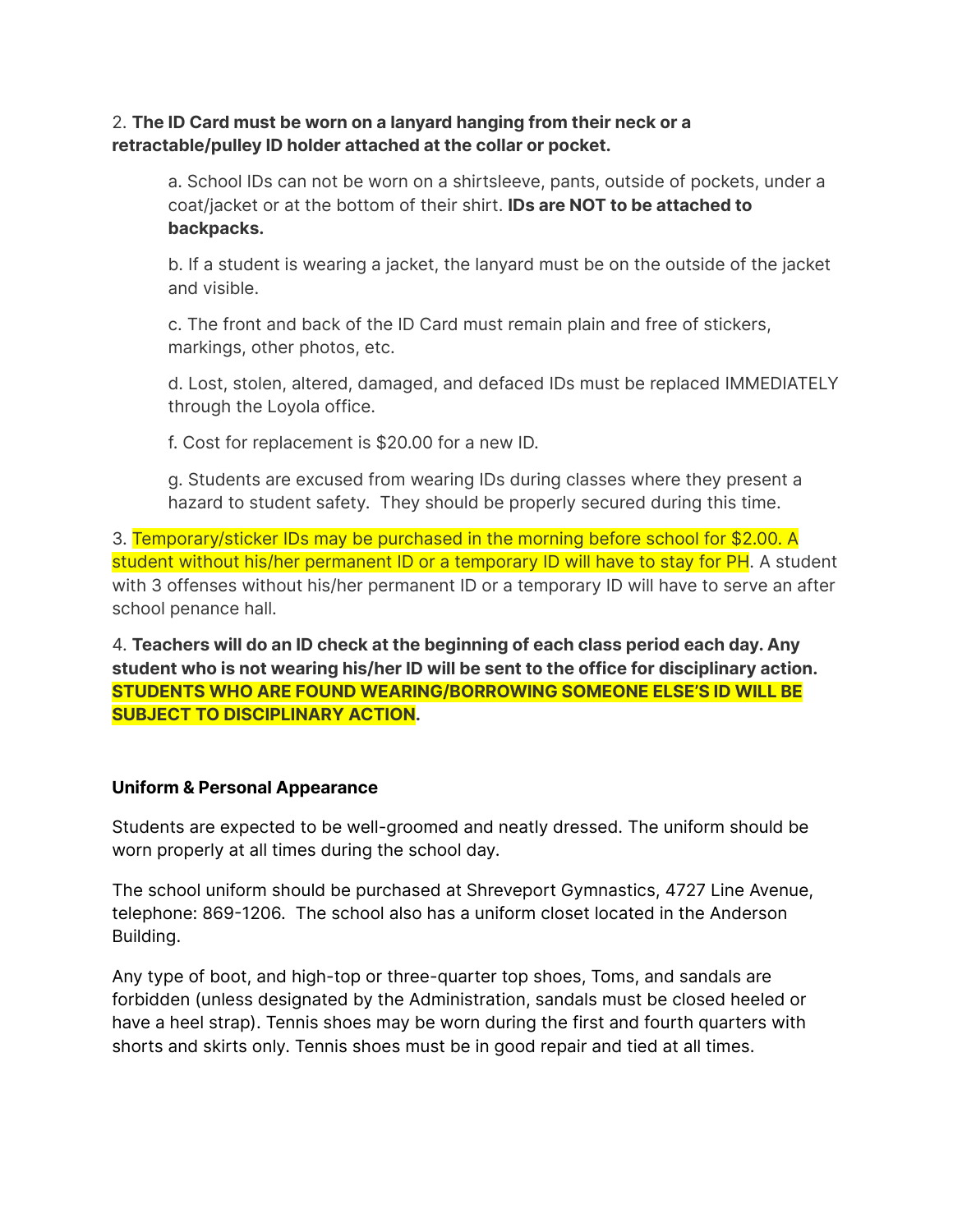#### 2. **The ID Card must be worn on a lanyard hanging from their neck or a retractable/pulley ID holder attached at the collar or pocket.**

a. School IDs can not be worn on a shirtsleeve, pants, outside of pockets, under a coat/jacket or at the bottom of their shirt. **IDs are NOT to be attached to backpacks.**

b. If a student is wearing a jacket, the lanyard must be on the outside of the jacket and visible.

c. The front and back of the ID Card must remain plain and free of stickers, markings, other photos, etc.

d. Lost, stolen, altered, damaged, and defaced IDs must be replaced IMMEDIATELY through the Loyola office.

f. Cost for replacement is \$20.00 for a new ID.

g. Students are excused from wearing IDs during classes where they present a hazard to student safety. They should be properly secured during this time.

3. Temporary/sticker IDs may be purchased in the morning before school for \$2.00. A student without his/her permanent ID or a temporary ID will have to stay for PH. A student with 3 offenses without his/her permanent ID or a temporary ID will have to serve an after school penance hall.

4. **Teachers will do an ID check at the beginning of each class period each day. Any student who is not wearing his/her ID will be sent to the office for disciplinary action. STUDENTS WHO ARE FOUND WEARING/BORROWING SOMEONE ELSE'S ID WILL BE SUBJECT TO DISCIPLINARY ACTION.**

#### **Uniform & Personal Appearance**

Students are expected to be well-groomed and neatly dressed. The uniform should be worn properly at all times during the school day.

The school uniform should be purchased at Shreveport Gymnastics, 4727 Line Avenue, telephone: 869-1206. The school also has a uniform closet located in the Anderson Building.

Any type of boot, and high-top or three-quarter top shoes, Toms, and sandals are forbidden (unless designated by the Administration, sandals must be closed heeled or have a heel strap). Tennis shoes may be worn during the first and fourth quarters with shorts and skirts only. Tennis shoes must be in good repair and tied at all times.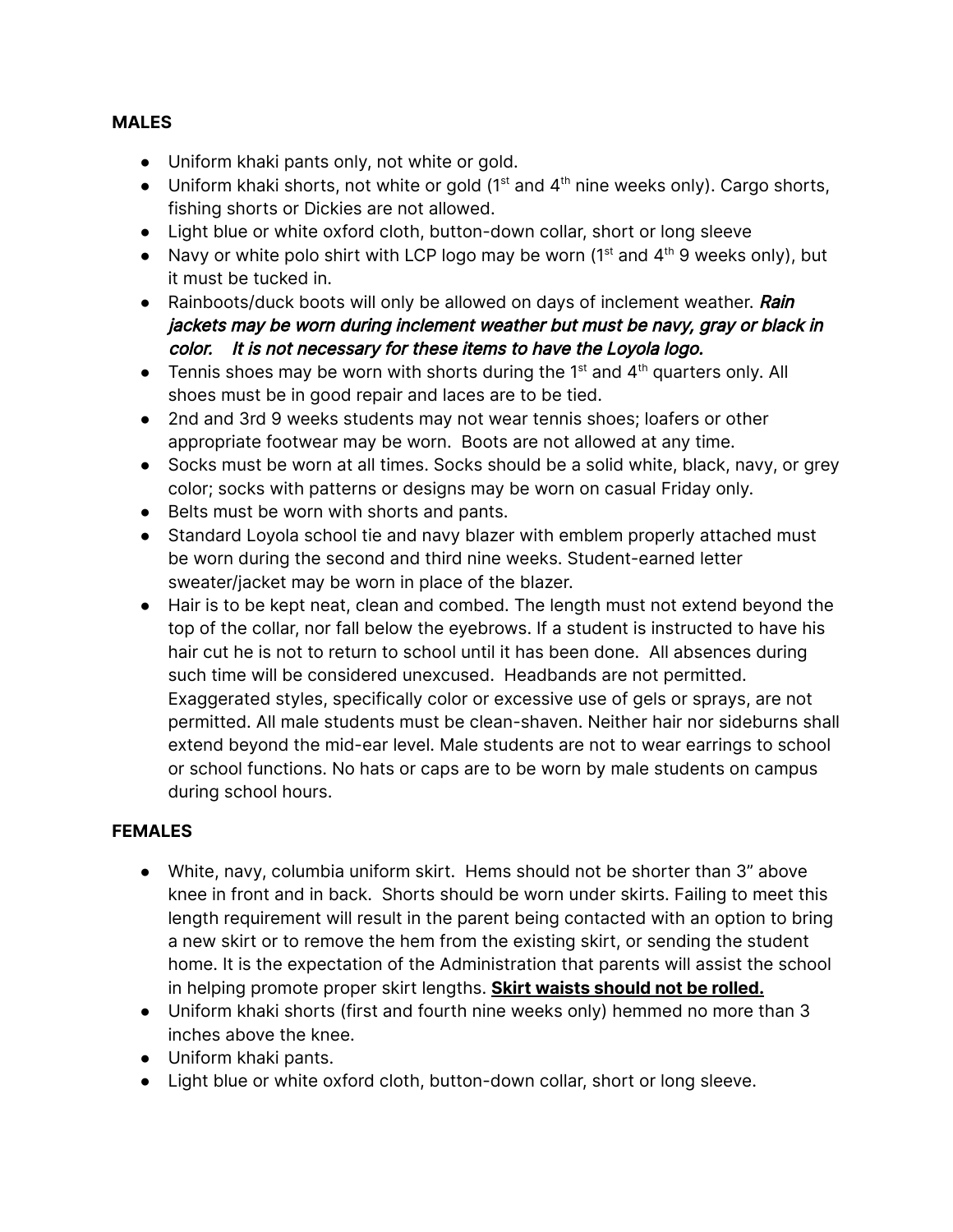#### **MALES**

- **●** Uniform khaki pants only, not white or gold.
- $\bullet$  Uniform khaki shorts, not white or gold (1<sup>st</sup> and 4<sup>th</sup> nine weeks only). Cargo shorts, fishing shorts or Dickies are not allowed.
- Light blue or white oxford cloth, button-down collar, short or long sleeve
- Navy or white polo shirt with LCP logo may be worn ( $1<sup>st</sup>$  and  $4<sup>th</sup>$  9 weeks only), but it must be tucked in.
- Rainboots/duck boots will only be allowed on days of inclement weather. Rain jackets may be worn during inclement weather but must be navy, gray or black in color. It is not necessary for these items to have the Loyola logo.
- Tennis shoes may be worn with shorts during the 1<sup>st</sup> and  $4<sup>th</sup>$  quarters only. All shoes must be in good repair and laces are to be tied.
- 2nd and 3rd 9 weeks students may not wear tennis shoes; loafers or other appropriate footwear may be worn. Boots are not allowed at any time.
- Socks must be worn at all times. Socks should be a solid white, black, navy, or grey color; socks with patterns or designs may be worn on casual Friday only.
- Belts must be worn with shorts and pants.
- Standard Loyola school tie and navy blazer with emblem properly attached must be worn during the second and third nine weeks. Student-earned letter sweater/jacket may be worn in place of the blazer.
- Hair is to be kept neat, clean and combed. The length must not extend beyond the top of the collar, nor fall below the eyebrows. If a student is instructed to have his hair cut he is not to return to school until it has been done. All absences during such time will be considered unexcused. Headbands are not permitted. Exaggerated styles, specifically color or excessive use of gels or sprays, are not permitted. All male students must be clean-shaven. Neither hair nor sideburns shall extend beyond the mid-ear level. Male students are not to wear earrings to school or school functions. No hats or caps are to be worn by male students on campus during school hours.

#### **FEMALES**

- **●** White, navy, columbia uniform skirt. Hems should not be shorter than 3" above knee in front and in back. Shorts should be worn under skirts. Failing to meet this length requirement will result in the parent being contacted with an option to bring a new skirt or to remove the hem from the existing skirt, or sending the student home. It is the expectation of the Administration that parents will assist the school in helping promote proper skirt lengths. **Skirt waists should not be rolled.**
- **●** Uniform khaki shorts (first and fourth nine weeks only) hemmed no more than 3 inches above the knee.
- Uniform khaki pants.
- **●** Light blue or white oxford cloth, button-down collar, short or long sleeve.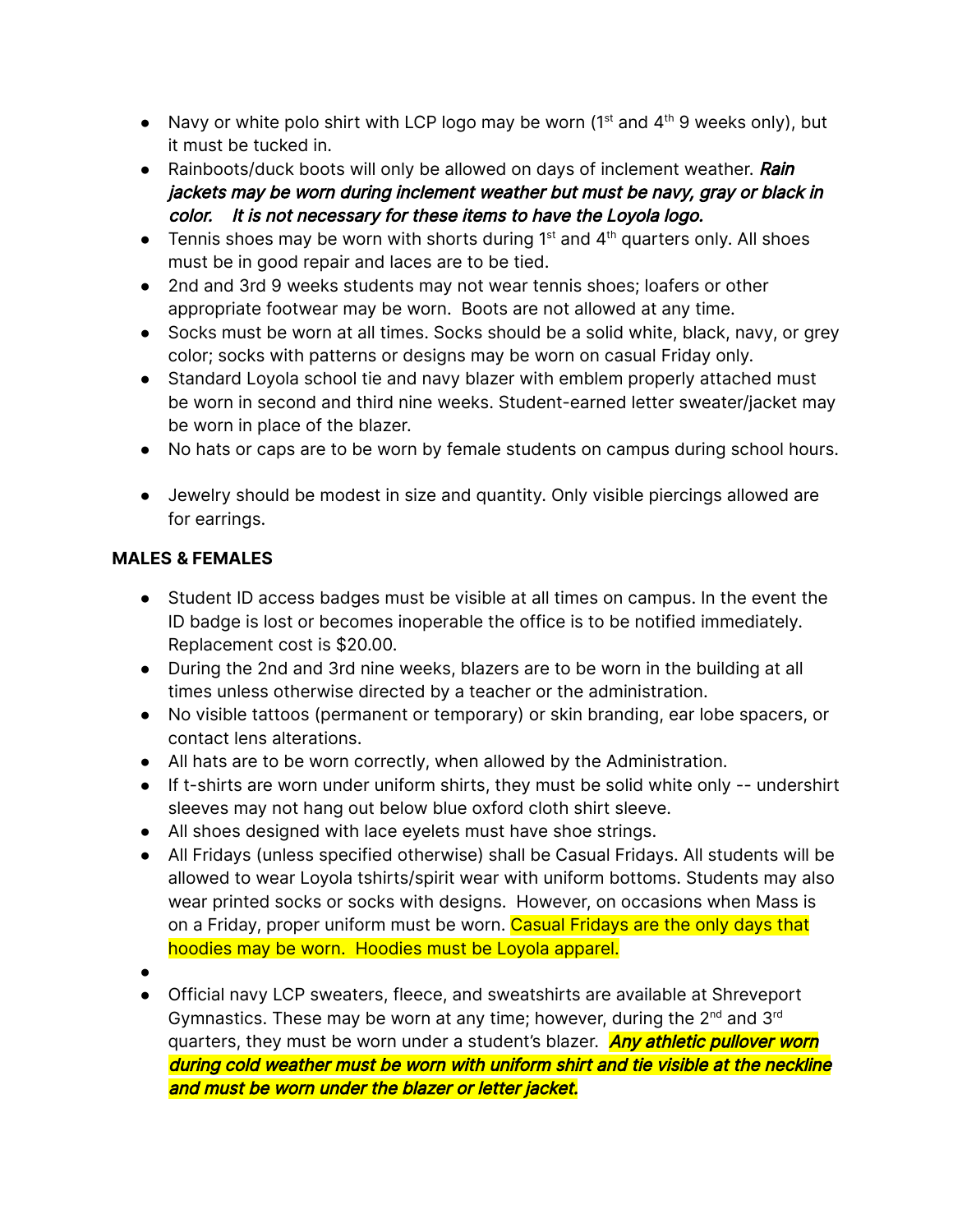- Navy or white polo shirt with LCP logo may be worn ( $1<sup>st</sup>$  and  $4<sup>th</sup>$  9 weeks only), but it must be tucked in.
- Rainboots/duck boots will only be allowed on days of inclement weather. Rain jackets may be worn during inclement weather but must be navy, gray or black in color. It is not necessary for these items to have the Loyola logo.
- Tennis shoes may be worn with shorts during  $1<sup>st</sup>$  and  $4<sup>th</sup>$  quarters only. All shoes must be in good repair and laces are to be tied.
- 2nd and 3rd 9 weeks students may not wear tennis shoes; loafers or other appropriate footwear may be worn. Boots are not allowed at any time.
- Socks must be worn at all times. Socks should be a solid white, black, navy, or grey color; socks with patterns or designs may be worn on casual Friday only.
- Standard Loyola school tie and navy blazer with emblem properly attached must be worn in second and third nine weeks. Student-earned letter sweater/jacket may be worn in place of the blazer.
- No hats or caps are to be worn by female students on campus during school hours.
- Jewelry should be modest in size and quantity. Only visible piercings allowed are for earrings.

#### **MALES & FEMALES**

- Student ID access badges must be visible at all times on campus. In the event the ID badge is lost or becomes inoperable the office is to be notified immediately. Replacement cost is \$20.00.
- During the 2nd and 3rd nine weeks, blazers are to be worn in the building at all times unless otherwise directed by a teacher or the administration.
- No visible tattoos (permanent or temporary) or skin branding, ear lobe spacers, or contact lens alterations.
- All hats are to be worn correctly, when allowed by the Administration.
- If t-shirts are worn under uniform shirts, they must be solid white only -- undershirt sleeves may not hang out below blue oxford cloth shirt sleeve.
- All shoes designed with lace eyelets must have shoe strings.
- All Fridays (unless specified otherwise) shall be Casual Fridays. All students will be allowed to wear Loyola tshirts/spirit wear with uniform bottoms. Students may also wear printed socks or socks with designs. However, on occasions when Mass is on a Friday, proper uniform must be worn. Casual Fridays are the only days that hoodies may be worn. Hoodies must be Loyola apparel.
- ●
- Official navy LCP sweaters, fleece, and sweatshirts are available at Shreveport Gymnastics. These may be worn at any time; however, during the  $2^{nd}$  and  $3^{rd}$ quarters, they must be worn under a student's blazer. **Any athletic pullover worn** during cold weather must be worn with uniform shirt and tie visible at the neckline and must be worn under the blazer or letter jacket.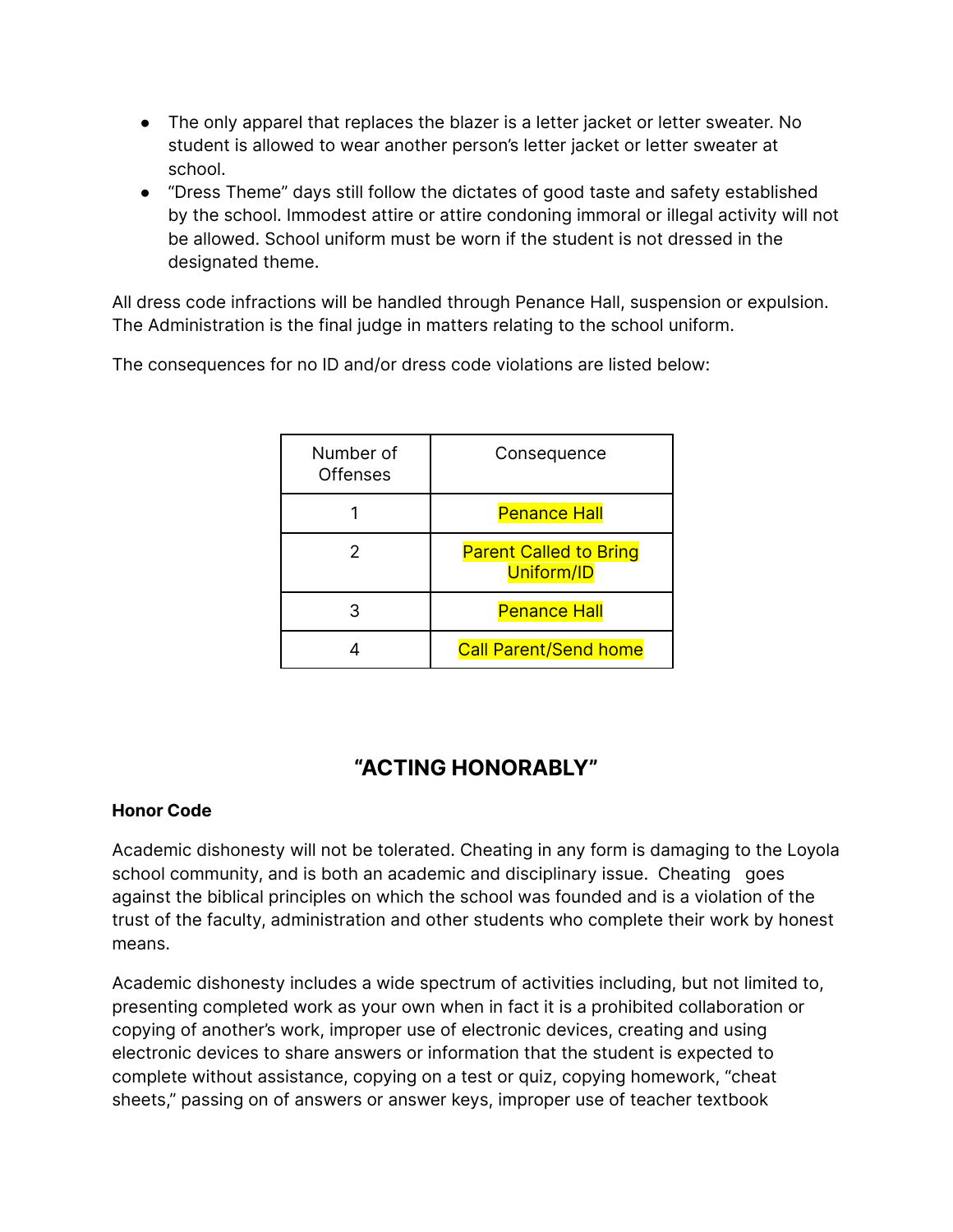- The only apparel that replaces the blazer is a letter jacket or letter sweater. No student is allowed to wear another person's letter jacket or letter sweater at school.
- "Dress Theme" days still follow the dictates of good taste and safety established by the school. Immodest attire or attire condoning immoral or illegal activity will not be allowed. School uniform must be worn if the student is not dressed in the designated theme.

All dress code infractions will be handled through Penance Hall, suspension or expulsion. The Administration is the final judge in matters relating to the school uniform.

The consequences for no ID and/or dress code violations are listed below:

| Number of<br>Offenses | Consequence                                 |
|-----------------------|---------------------------------------------|
|                       | <b>Penance Hall</b>                         |
|                       | <b>Parent Called to Bring</b><br>Uniform/ID |
| 3                     | <b>Penance Hall</b>                         |
|                       | <b>Call Parent/Send home</b>                |

# **"ACTING HONORABLY"**

#### **Honor Code**

Academic dishonesty will not be tolerated. Cheating in any form is damaging to the Loyola school community, and is both an academic and disciplinary issue. Cheating goes against the biblical principles on which the school was founded and is a violation of the trust of the faculty, administration and other students who complete their work by honest means.

Academic dishonesty includes a wide spectrum of activities including, but not limited to, presenting completed work as your own when in fact it is a prohibited collaboration or copying of another's work, improper use of electronic devices, creating and using electronic devices to share answers or information that the student is expected to complete without assistance, copying on a test or quiz, copying homework, "cheat sheets," passing on of answers or answer keys, improper use of teacher textbook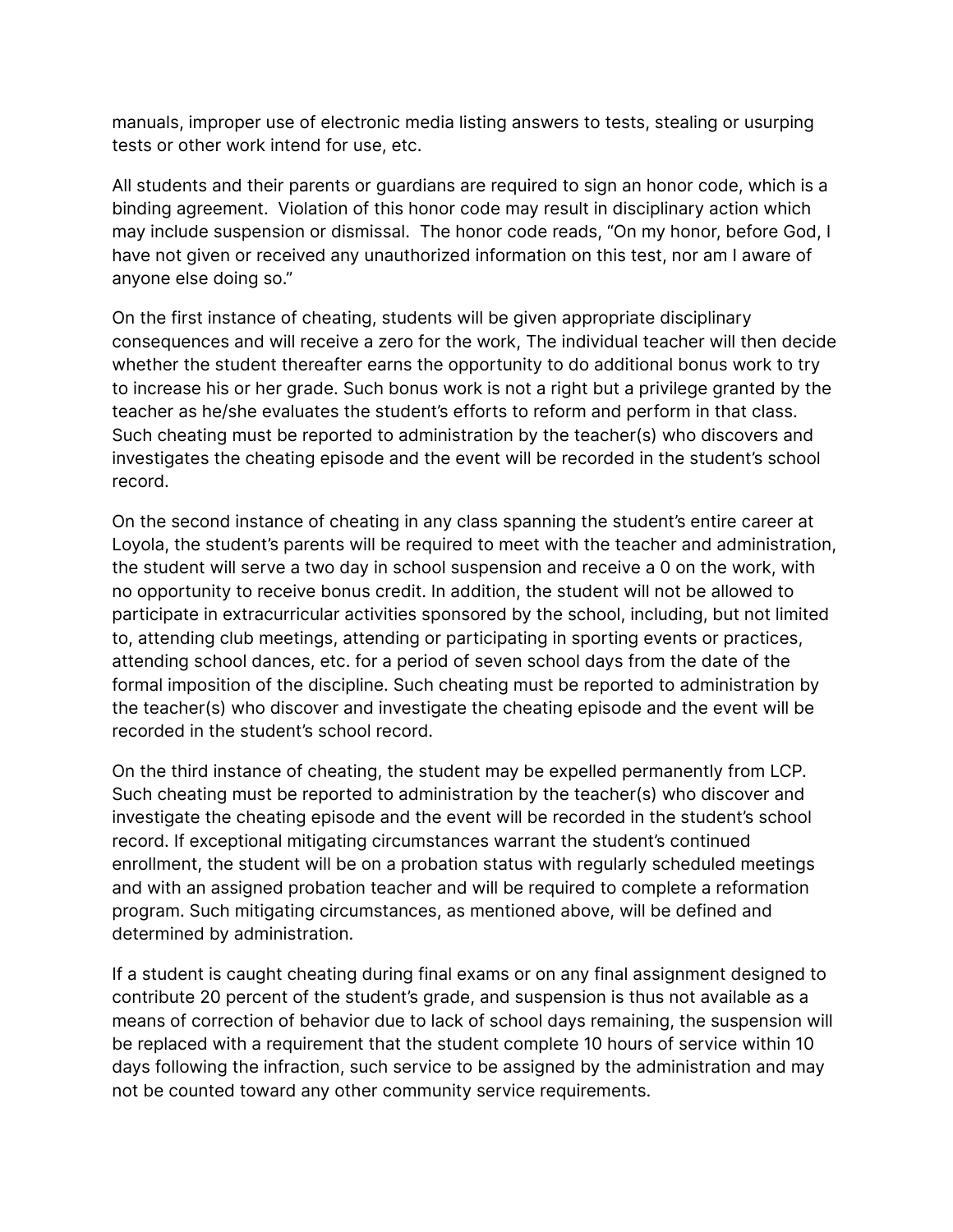manuals, improper use of electronic media listing answers to tests, stealing or usurping tests or other work intend for use, etc.

All students and their parents or guardians are required to sign an honor code, which is a binding agreement. Violation of this honor code may result in disciplinary action which may include suspension or dismissal. The honor code reads, "On my honor, before God, I have not given or received any unauthorized information on this test, nor am I aware of anyone else doing so."

On the first instance of cheating, students will be given appropriate disciplinary consequences and will receive a zero for the work, The individual teacher will then decide whether the student thereafter earns the opportunity to do additional bonus work to try to increase his or her grade. Such bonus work is not a right but a privilege granted by the teacher as he/she evaluates the student's efforts to reform and perform in that class. Such cheating must be reported to administration by the teacher(s) who discovers and investigates the cheating episode and the event will be recorded in the student's school record.

On the second instance of cheating in any class spanning the student's entire career at Loyola, the student's parents will be required to meet with the teacher and administration, the student will serve a two day in school suspension and receive a 0 on the work, with no opportunity to receive bonus credit. In addition, the student will not be allowed to participate in extracurricular activities sponsored by the school, including, but not limited to, attending club meetings, attending or participating in sporting events or practices, attending school dances, etc. for a period of seven school days from the date of the formal imposition of the discipline. Such cheating must be reported to administration by the teacher(s) who discover and investigate the cheating episode and the event will be recorded in the student's school record.

On the third instance of cheating, the student may be expelled permanently from LCP. Such cheating must be reported to administration by the teacher(s) who discover and investigate the cheating episode and the event will be recorded in the student's school record. If exceptional mitigating circumstances warrant the student's continued enrollment, the student will be on a probation status with regularly scheduled meetings and with an assigned probation teacher and will be required to complete a reformation program. Such mitigating circumstances, as mentioned above, will be defined and determined by administration.

If a student is caught cheating during final exams or on any final assignment designed to contribute 20 percent of the student's grade, and suspension is thus not available as a means of correction of behavior due to lack of school days remaining, the suspension will be replaced with a requirement that the student complete 10 hours of service within 10 days following the infraction, such service to be assigned by the administration and may not be counted toward any other community service requirements.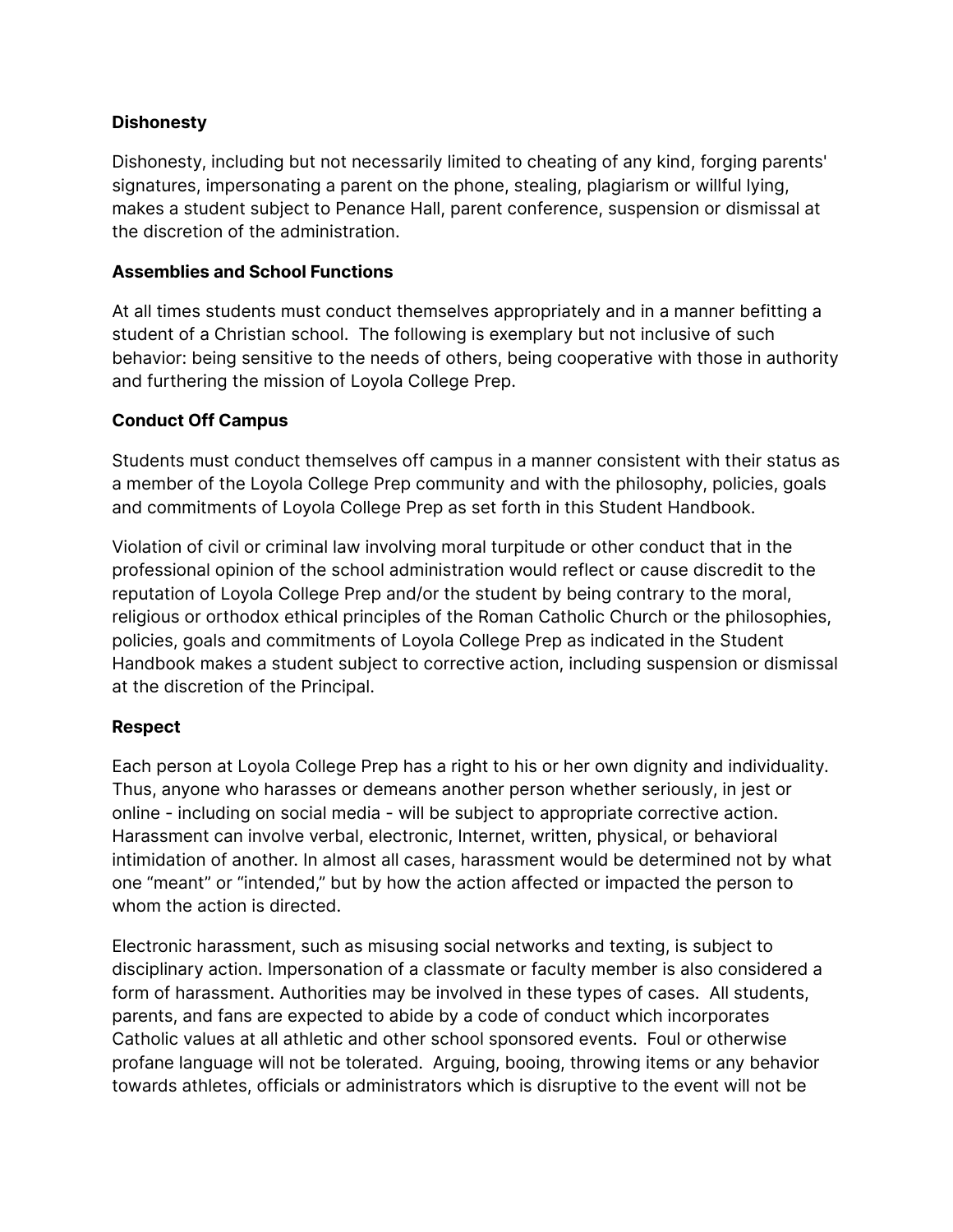#### **Dishonesty**

Dishonesty, including but not necessarily limited to cheating of any kind, forging parents' signatures, impersonating a parent on the phone, stealing, plagiarism or willful lying, makes a student subject to Penance Hall, parent conference, suspension or dismissal at the discretion of the administration.

#### **Assemblies and School Functions**

At all times students must conduct themselves appropriately and in a manner befitting a student of a Christian school. The following is exemplary but not inclusive of such behavior: being sensitive to the needs of others, being cooperative with those in authority and furthering the mission of Loyola College Prep.

#### **Conduct Off Campus**

Students must conduct themselves off campus in a manner consistent with their status as a member of the Loyola College Prep community and with the philosophy, policies, goals and commitments of Loyola College Prep as set forth in this Student Handbook.

Violation of civil or criminal law involving moral turpitude or other conduct that in the professional opinion of the school administration would reflect or cause discredit to the reputation of Loyola College Prep and/or the student by being contrary to the moral, religious or orthodox ethical principles of the Roman Catholic Church or the philosophies, policies, goals and commitments of Loyola College Prep as indicated in the Student Handbook makes a student subject to corrective action, including suspension or dismissal at the discretion of the Principal.

#### **Respect**

Each person at Loyola College Prep has a right to his or her own dignity and individuality. Thus, anyone who harasses or demeans another person whether seriously, in jest or online - including on social media - will be subject to appropriate corrective action. Harassment can involve verbal, electronic, Internet, written, physical, or behavioral intimidation of another. In almost all cases, harassment would be determined not by what one "meant" or "intended," but by how the action affected or impacted the person to whom the action is directed.

Electronic harassment, such as misusing social networks and texting, is subject to disciplinary action. Impersonation of a classmate or faculty member is also considered a form of harassment. Authorities may be involved in these types of cases. All students, parents, and fans are expected to abide by a code of conduct which incorporates Catholic values at all athletic and other school sponsored events. Foul or otherwise profane language will not be tolerated. Arguing, booing, throwing items or any behavior towards athletes, officials or administrators which is disruptive to the event will not be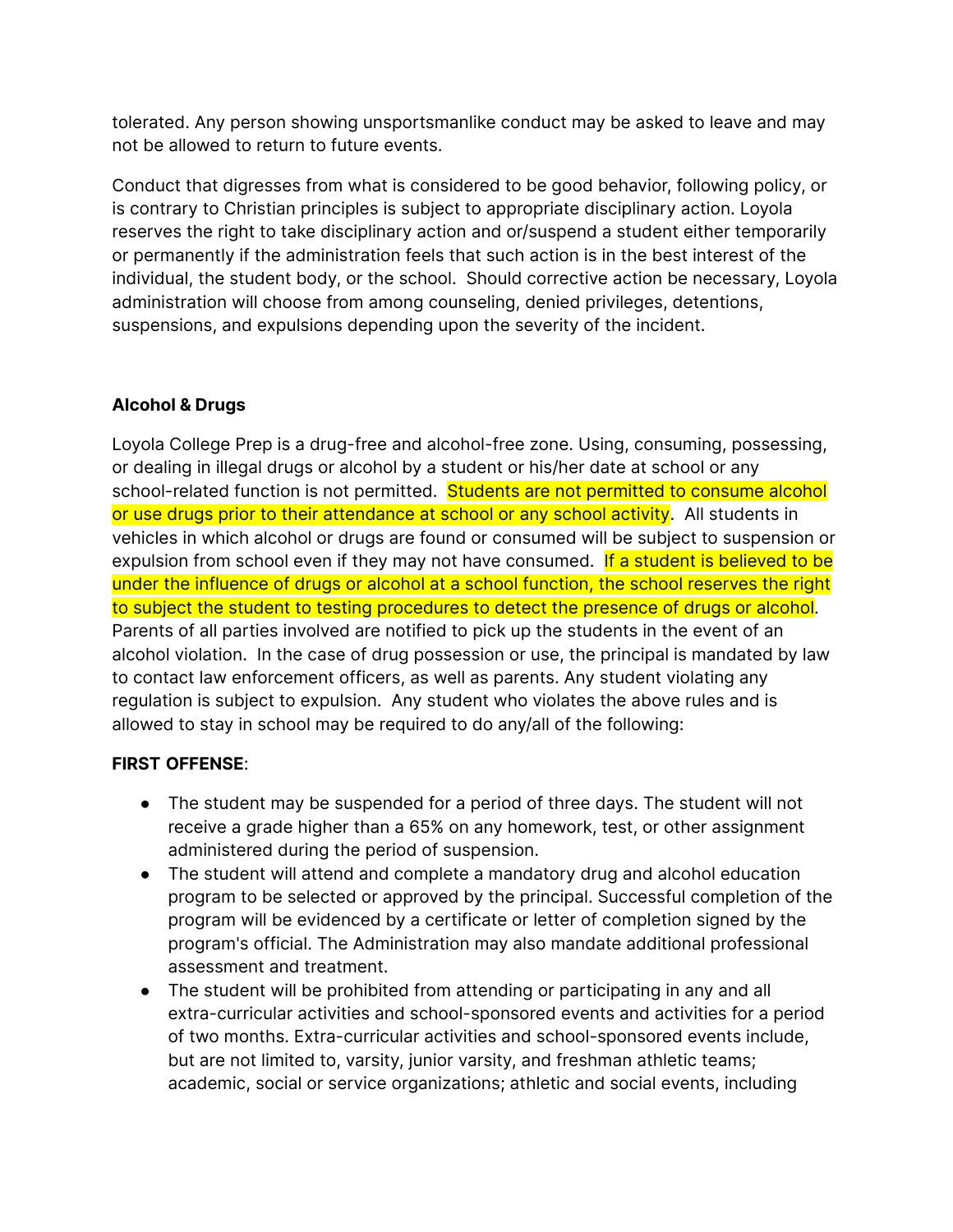tolerated. Any person showing unsportsmanlike conduct may be asked to leave and may not be allowed to return to future events.

Conduct that digresses from what is considered to be good behavior, following policy, or is contrary to Christian principles is subject to appropriate disciplinary action. Loyola reserves the right to take disciplinary action and or/suspend a student either temporarily or permanently if the administration feels that such action is in the best interest of the individual, the student body, or the school. Should corrective action be necessary, Loyola administration will choose from among counseling, denied privileges, detentions, suspensions, and expulsions depending upon the severity of the incident.

#### **Alcohol & Drugs**

Loyola College Prep is a drug-free and alcohol-free zone. Using, consuming, possessing, or dealing in illegal drugs or alcohol by a student or his/her date at school or any school-related function is not permitted. Students are not permitted to consume alcohol or use drugs prior to their attendance at school or any school activity. All students in vehicles in which alcohol or drugs are found or consumed will be subject to suspension or expulsion from school even if they may not have consumed. If a student is believed to be under the influence of drugs or alcohol at a school function, the school reserves the right to subject the student to testing procedures to detect the presence of drugs or alcohol. Parents of all parties involved are notified to pick up the students in the event of an alcohol violation. In the case of drug possession or use, the principal is mandated by law to contact law enforcement officers, as well as parents. Any student violating any regulation is subject to expulsion. Any student who violates the above rules and is allowed to stay in school may be required to do any/all of the following:

#### **FIRST OFFENSE**:

- The student may be suspended for a period of three days. The student will not receive a grade higher than a 65% on any homework, test, or other assignment administered during the period of suspension.
- The student will attend and complete a mandatory drug and alcohol education program to be selected or approved by the principal. Successful completion of the program will be evidenced by a certificate or letter of completion signed by the program's official. The Administration may also mandate additional professional assessment and treatment.
- The student will be prohibited from attending or participating in any and all extra-curricular activities and school-sponsored events and activities for a period of two months. Extra-curricular activities and school-sponsored events include, but are not limited to, varsity, junior varsity, and freshman athletic teams; academic, social or service organizations; athletic and social events, including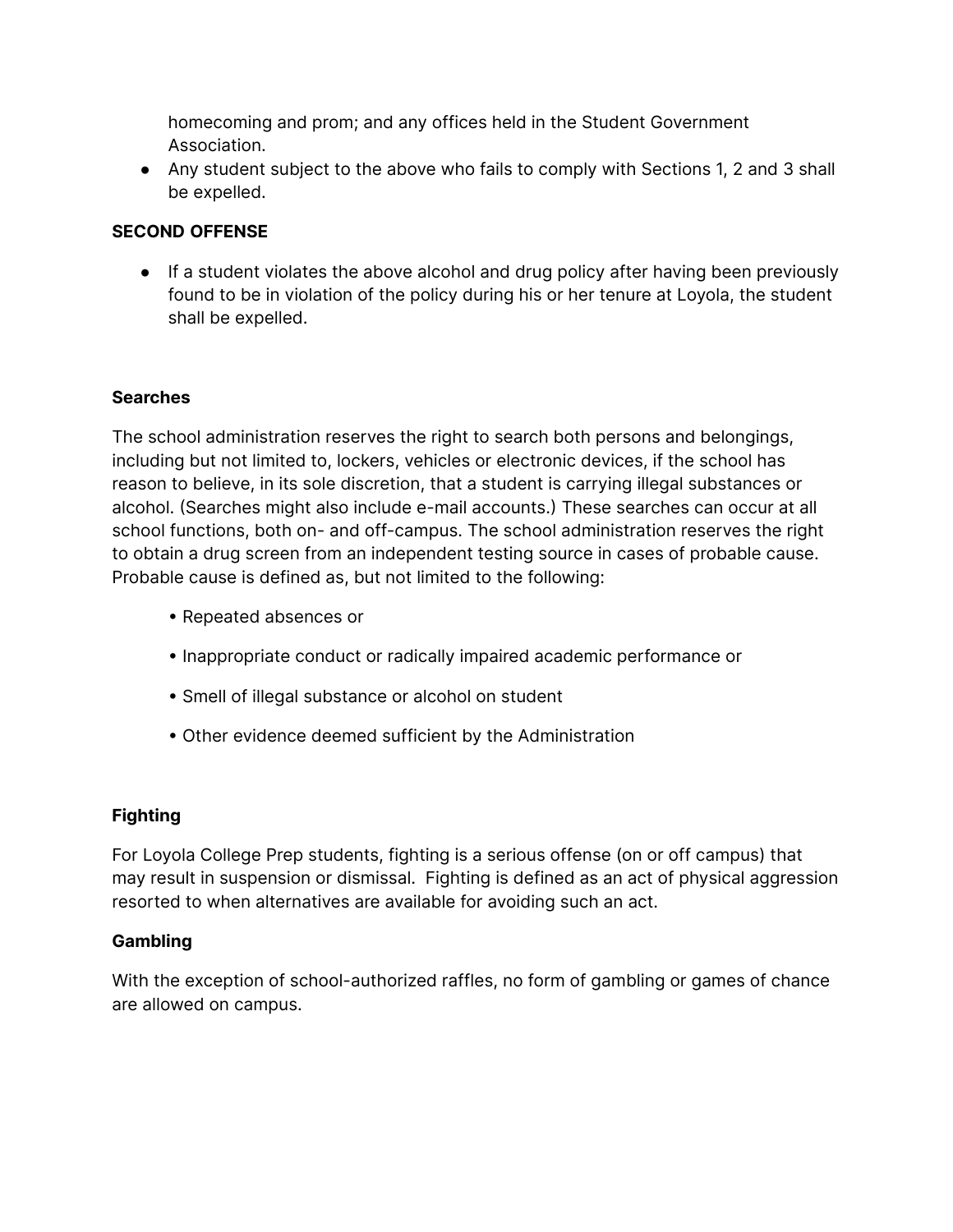homecoming and prom; and any offices held in the Student Government Association.

● Any student subject to the above who fails to comply with Sections 1, 2 and 3 shall be expelled.

#### **SECOND OFFENSE**

• If a student violates the above alcohol and drug policy after having been previously found to be in violation of the policy during his or her tenure at Loyola, the student shall be expelled.

#### **Searches**

The school administration reserves the right to search both persons and belongings, including but not limited to, lockers, vehicles or electronic devices, if the school has reason to believe, in its sole discretion, that a student is carrying illegal substances or alcohol. (Searches might also include e-mail accounts.) These searches can occur at all school functions, both on- and off-campus. The school administration reserves the right to obtain a drug screen from an independent testing source in cases of probable cause. Probable cause is defined as, but not limited to the following:

- Repeated absences or
- Inappropriate conduct or radically impaired academic performance or
- Smell of illegal substance or alcohol on student
- Other evidence deemed sufficient by the Administration

#### **Fighting**

For Loyola College Prep students, fighting is a serious offense (on or off campus) that may result in suspension or dismissal. Fighting is defined as an act of physical aggression resorted to when alternatives are available for avoiding such an act.

#### **Gambling**

With the exception of school-authorized raffles, no form of gambling or games of chance are allowed on campus.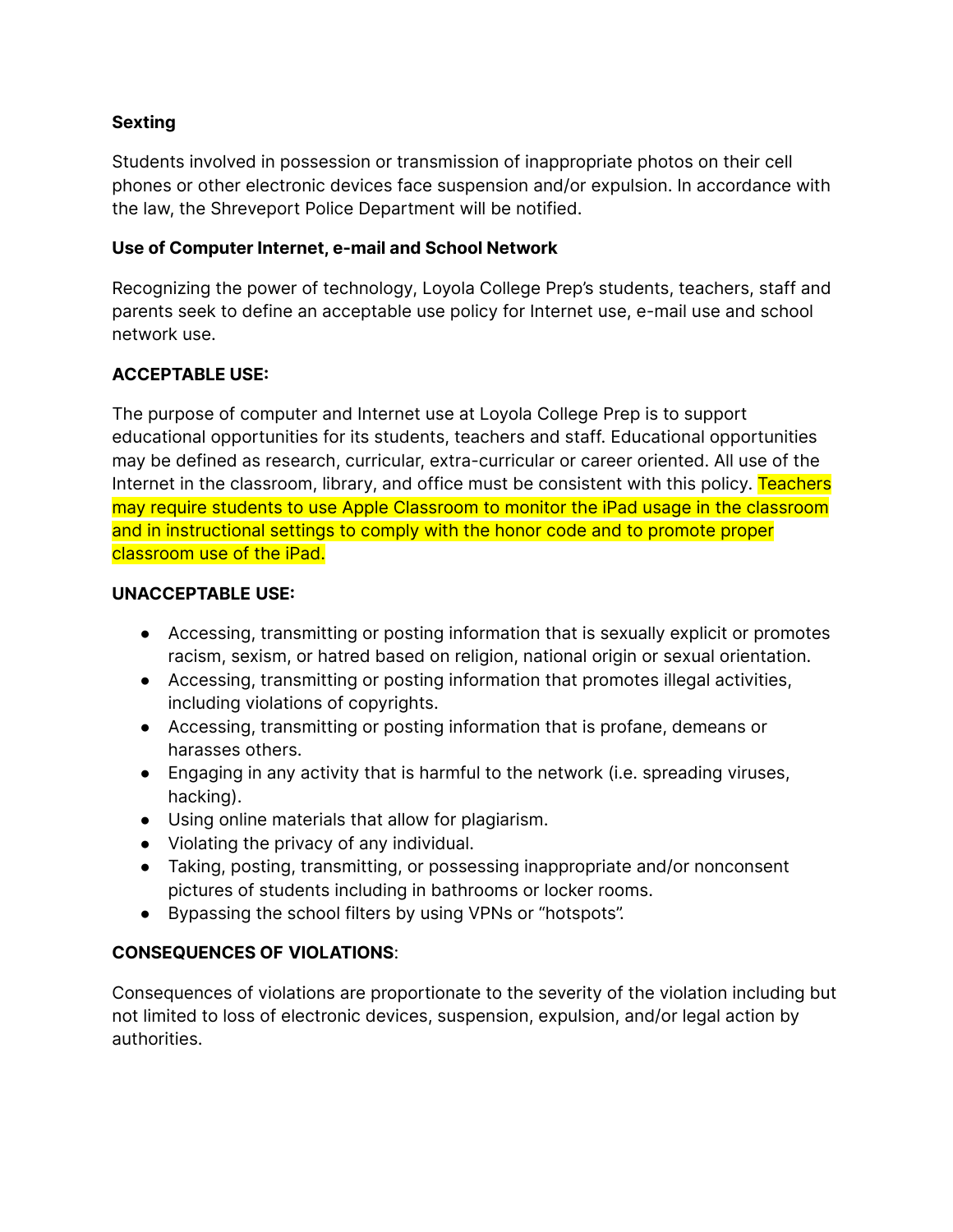#### **Sexting**

Students involved in possession or transmission of inappropriate photos on their cell phones or other electronic devices face suspension and/or expulsion. In accordance with the law, the Shreveport Police Department will be notified.

#### **Use of Computer Internet, e-mail and School Network**

Recognizing the power of technology, Loyola College Prep's students, teachers, staff and parents seek to define an acceptable use policy for Internet use, e-mail use and school network use.

#### **ACCEPTABLE USE:**

The purpose of computer and Internet use at Loyola College Prep is to support educational opportunities for its students, teachers and staff. Educational opportunities may be defined as research, curricular, extra-curricular or career oriented. All use of the Internet in the classroom, library, and office must be consistent with this policy. Teachers may require students to use Apple Classroom to monitor the iPad usage in the classroom and in instructional settings to comply with the honor code and to promote proper classroom use of the iPad.

#### **UNACCEPTABLE USE:**

- **●** Accessing, transmitting or posting information that is sexually explicit or promotes racism, sexism, or hatred based on religion, national origin or sexual orientation.
- **●** Accessing, transmitting or posting information that promotes illegal activities, including violations of copyrights.
- **●** Accessing, transmitting or posting information that is profane, demeans or harasses others.
- **●** Engaging in any activity that is harmful to the network (i.e. spreading viruses, hacking).
- **●** Using online materials that allow for plagiarism.
- **●** Violating the privacy of any individual.
- Taking, posting, transmitting, or possessing inappropriate and/or nonconsent pictures of students including in bathrooms or locker rooms.
- Bypassing the school filters by using VPNs or "hotspots".

#### **CONSEQUENCES OF VIOLATIONS**:

Consequences of violations are proportionate to the severity of the violation including but not limited to loss of electronic devices, suspension, expulsion, and/or legal action by authorities.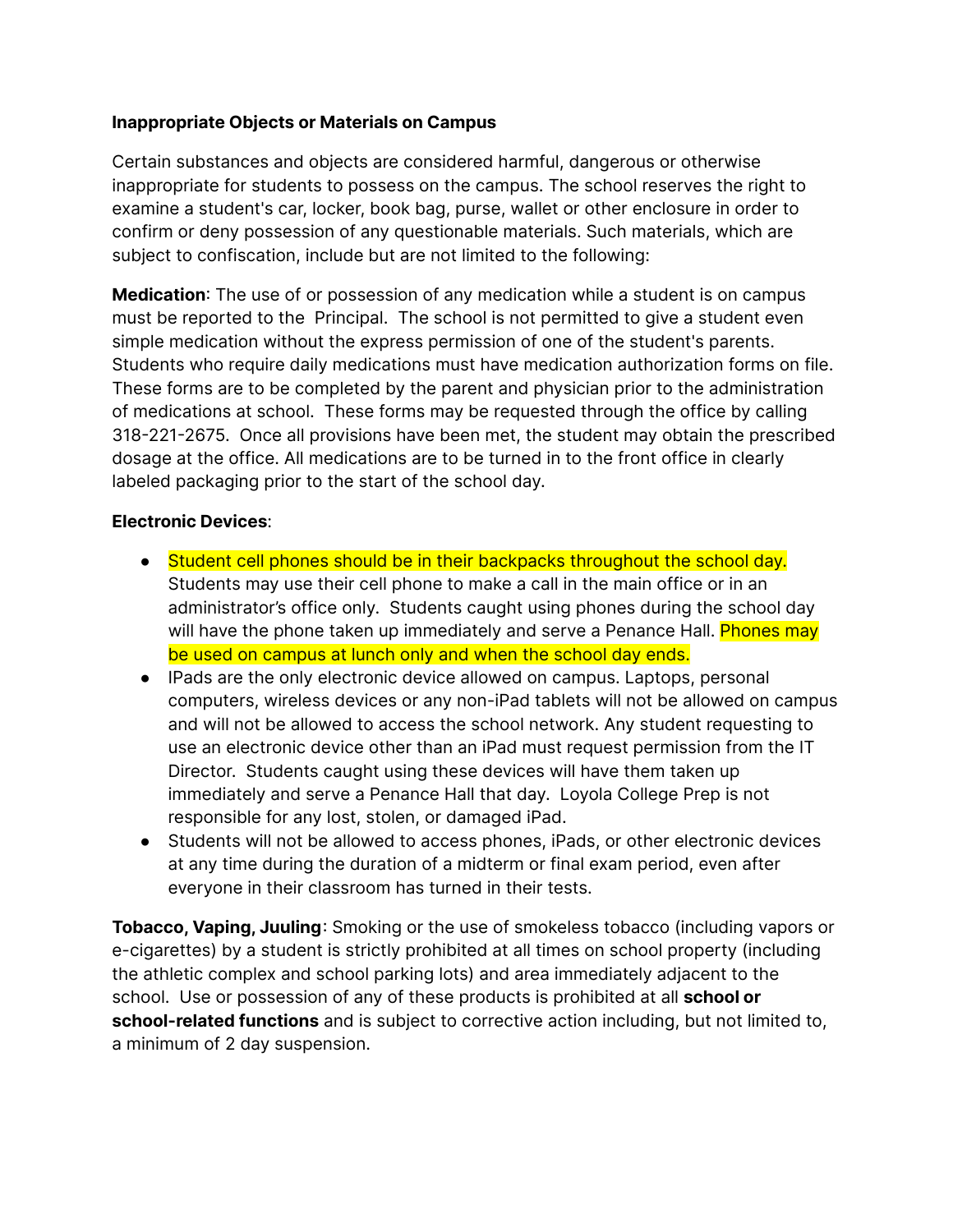#### **Inappropriate Objects or Materials on Campus**

Certain substances and objects are considered harmful, dangerous or otherwise inappropriate for students to possess on the campus. The school reserves the right to examine a student's car, locker, book bag, purse, wallet or other enclosure in order to confirm or deny possession of any questionable materials. Such materials, which are subject to confiscation, include but are not limited to the following:

**Medication**: The use of or possession of any medication while a student is on campus must be reported to the Principal. The school is not permitted to give a student even simple medication without the express permission of one of the student's parents. Students who require daily medications must have medication authorization forms on file. These forms are to be completed by the parent and physician prior to the administration of medications at school. These forms may be requested through the office by calling 318-221-2675. Once all provisions have been met, the student may obtain the prescribed dosage at the office. All medications are to be turned in to the front office in clearly labeled packaging prior to the start of the school day.

#### **Electronic Devices**:

- Student cell phones should be in their backpacks throughout the school day. Students may use their cell phone to make a call in the main office or in an administrator's office only. Students caught using phones during the school day will have the phone taken up immediately and serve a Penance Hall. Phones may be used on campus at lunch only and when the school day ends.
- IPads are the only electronic device allowed on campus. Laptops, personal computers, wireless devices or any non-iPad tablets will not be allowed on campus and will not be allowed to access the school network. Any student requesting to use an electronic device other than an iPad must request permission from the IT Director. Students caught using these devices will have them taken up immediately and serve a Penance Hall that day. Loyola College Prep is not responsible for any lost, stolen, or damaged iPad.
- Students will not be allowed to access phones, iPads, or other electronic devices at any time during the duration of a midterm or final exam period, even after everyone in their classroom has turned in their tests.

**Tobacco, Vaping, Juuling**: Smoking or the use of smokeless tobacco (including vapors or e-cigarettes) by a student is strictly prohibited at all times on school property (including the athletic complex and school parking lots) and area immediately adjacent to the school. Use or possession of any of these products is prohibited at all **school or school-related functions** and is subject to corrective action including, but not limited to, a minimum of 2 day suspension.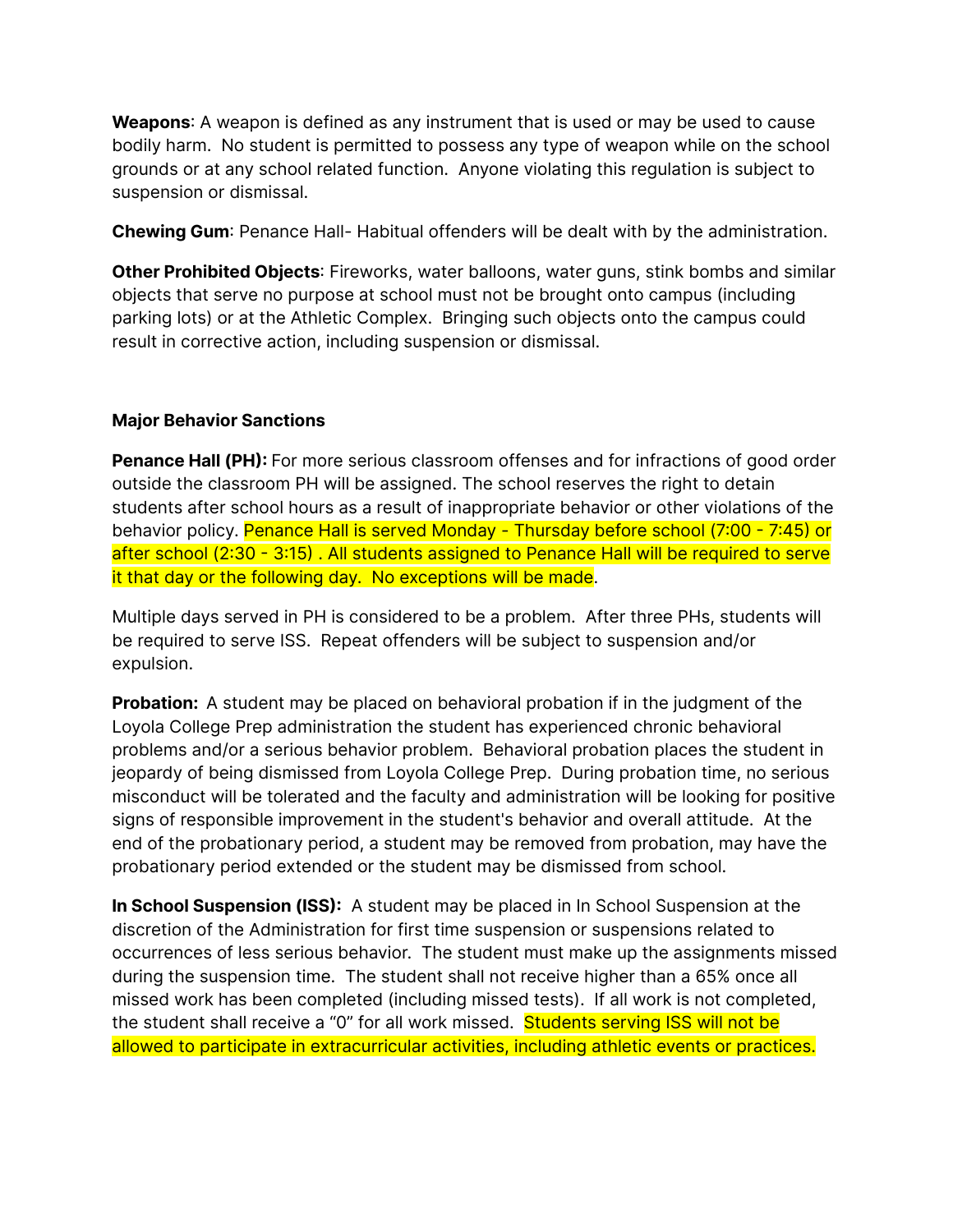**Weapons**: A weapon is defined as any instrument that is used or may be used to cause bodily harm. No student is permitted to possess any type of weapon while on the school grounds or at any school related function. Anyone violating this regulation is subject to suspension or dismissal.

**Chewing Gum**: Penance Hall- Habitual offenders will be dealt with by the administration.

**Other Prohibited Objects**: Fireworks, water balloons, water guns, stink bombs and similar objects that serve no purpose at school must not be brought onto campus (including parking lots) or at the Athletic Complex. Bringing such objects onto the campus could result in corrective action, including suspension or dismissal.

#### **Major Behavior Sanctions**

**Penance Hall (PH):** For more serious classroom offenses and for infractions of good order outside the classroom PH will be assigned. The school reserves the right to detain students after school hours as a result of inappropriate behavior or other violations of the behavior policy. Penance Hall is served Monday - Thursday before school (7:00 - 7:45) or after school (2:30 - 3:15) . All students assigned to Penance Hall will be required to serve it that day or the following day. No exceptions will be made.

Multiple days served in PH is considered to be a problem. After three PHs, students will be required to serve ISS. Repeat offenders will be subject to suspension and/or expulsion.

**Probation:** A student may be placed on behavioral probation if in the judgment of the Loyola College Prep administration the student has experienced chronic behavioral problems and/or a serious behavior problem. Behavioral probation places the student in jeopardy of being dismissed from Loyola College Prep. During probation time, no serious misconduct will be tolerated and the faculty and administration will be looking for positive signs of responsible improvement in the student's behavior and overall attitude. At the end of the probationary period, a student may be removed from probation, may have the probationary period extended or the student may be dismissed from school.

**In School Suspension (ISS):** A student may be placed in In School Suspension at the discretion of the Administration for first time suspension or suspensions related to occurrences of less serious behavior. The student must make up the assignments missed during the suspension time. The student shall not receive higher than a 65% once all missed work has been completed (including missed tests). If all work is not completed, the student shall receive a "0" for all work missed. Students serving ISS will not be allowed to participate in extracurricular activities, including athletic events or practices.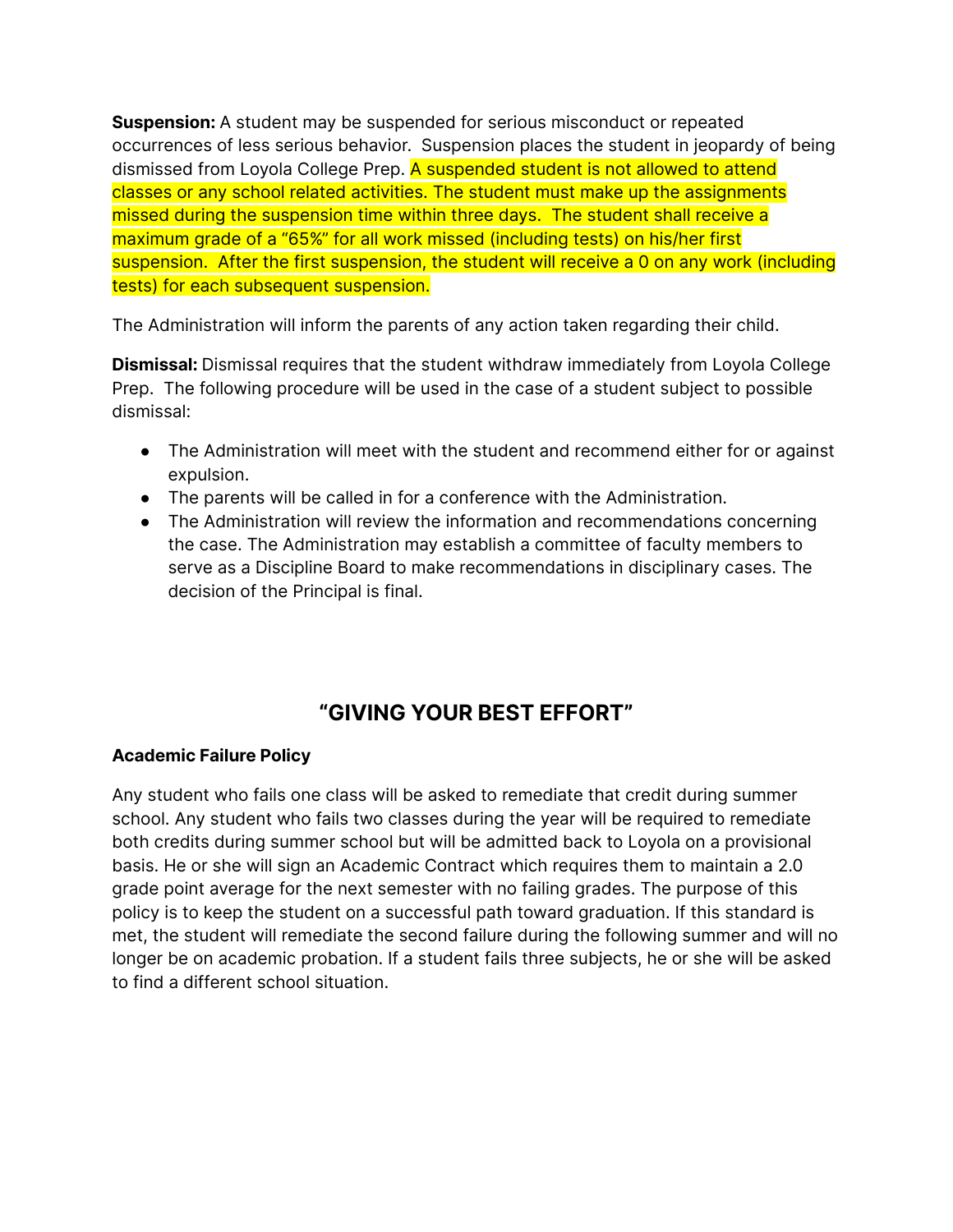**Suspension:** A student may be suspended for serious misconduct or repeated occurrences of less serious behavior. Suspension places the student in jeopardy of being dismissed from Loyola College Prep. A suspended student is not allowed to attend classes or any school related activities. The student must make up the assignments missed during the suspension time within three days. The student shall receive a maximum grade of a "65%" for all work missed (including tests) on his/her first suspension. After the first suspension, the student will receive a 0 on any work (including tests) for each subsequent suspension.

The Administration will inform the parents of any action taken regarding their child.

**Dismissal:** Dismissal requires that the student withdraw immediately from Loyola College Prep. The following procedure will be used in the case of a student subject to possible dismissal:

- **●** The Administration will meet with the student and recommend either for or against expulsion.
- **●** The parents will be called in for a conference with the Administration.
- **●** The Administration will review the information and recommendations concerning the case. The Administration may establish a committee of faculty members to serve as a Discipline Board to make recommendations in disciplinary cases. The decision of the Principal is final.

# **"GIVING YOUR BEST EFFORT"**

#### **Academic Failure Policy**

Any student who fails one class will be asked to remediate that credit during summer school. Any student who fails two classes during the year will be required to remediate both credits during summer school but will be admitted back to Loyola on a provisional basis. He or she will sign an Academic Contract which requires them to maintain a 2.0 grade point average for the next semester with no failing grades. The purpose of this policy is to keep the student on a successful path toward graduation. If this standard is met, the student will remediate the second failure during the following summer and will no longer be on academic probation. If a student fails three subjects, he or she will be asked to find a different school situation.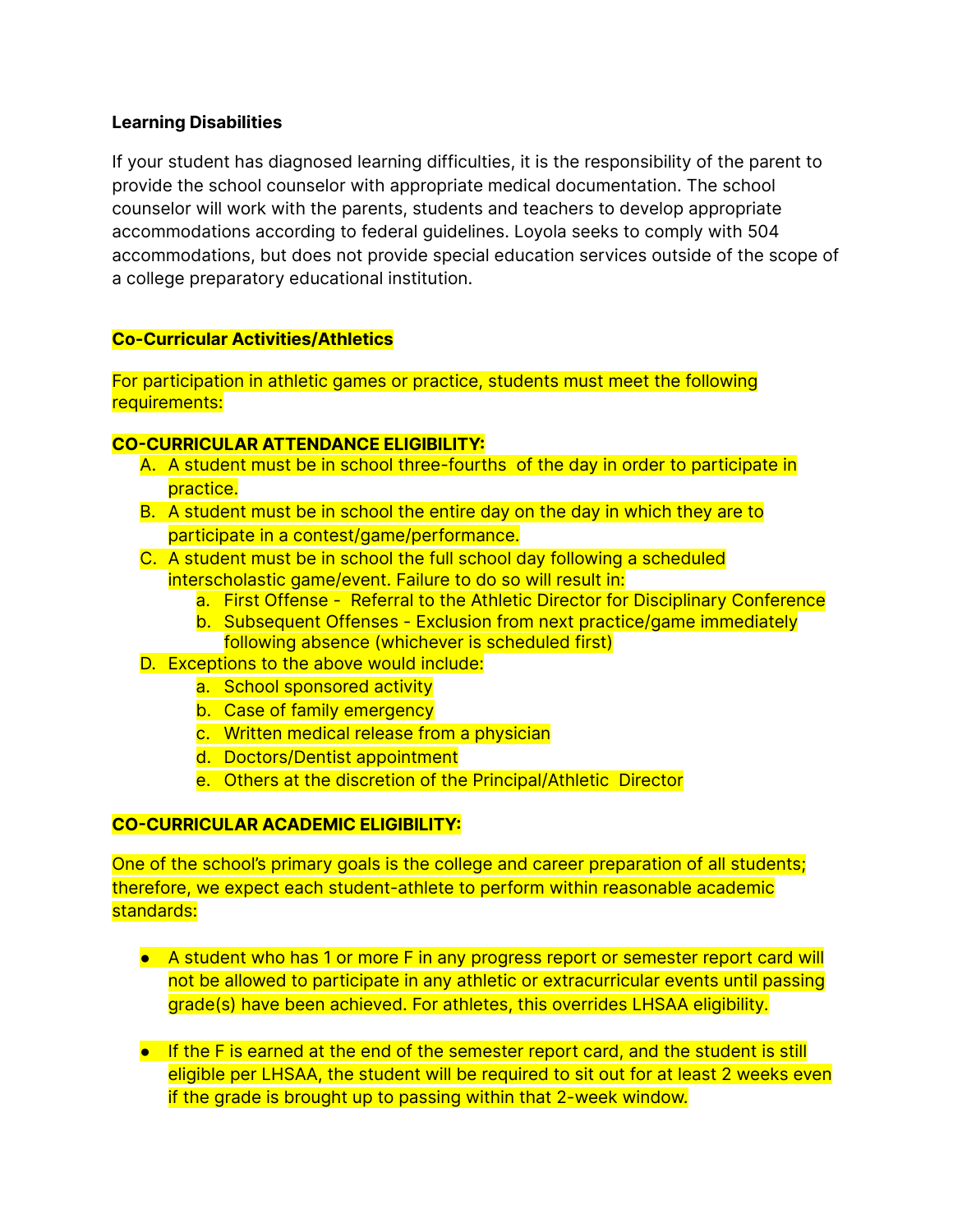#### **Learning Disabilities**

If your student has diagnosed learning difficulties, it is the responsibility of the parent to provide the school counselor with appropriate medical documentation. The school counselor will work with the parents, students and teachers to develop appropriate accommodations according to federal guidelines. Loyola seeks to comply with 504 accommodations, but does not provide special education services outside of the scope of a college preparatory educational institution.

#### **Co-Curricular Activities/Athletics**

For participation in athletic games or practice, students must meet the following requirements:

#### **CO-CURRICULAR ATTENDANCE ELIGIBILITY:**

- A. A student must be in school three-fourths of the day in order to participate in practice.
- B. A student must be in school the entire day on the day in which they are to participate in a contest/game/performance.
- C. A student must be in school the full school day following a scheduled interscholastic game/event. Failure to do so will result in:
	- a. First Offense Referral to the Athletic Director for Disciplinary Conference
	- b. Subsequent Offenses Exclusion from next practice/game immediately following absence (whichever is scheduled first)
- D. Exceptions to the above would include:
	- a. School sponsored activity
		- b. Case of family emergency
		- c. Written medical release from a physician
		- d. Doctors/Dentist appointment
		- e. Others at the discretion of the Principal/Athletic Director

#### **CO-CURRICULAR ACADEMIC ELIGIBILITY:**

One of the school's primary goals is the college and career preparation of all students; therefore, we expect each student-athlete to perform within reasonable academic standards:

- A student who has 1 or more F in any progress report or semester report card will not be allowed to participate in any athletic or extracurricular events until passing grade(s) have been achieved. For athletes, this overrides LHSAA eligibility.
- If the F is earned at the end of the semester report card, and the student is still eligible per LHSAA, the student will be required to sit out for at least 2 weeks even if the grade is brought up to passing within that 2-week window.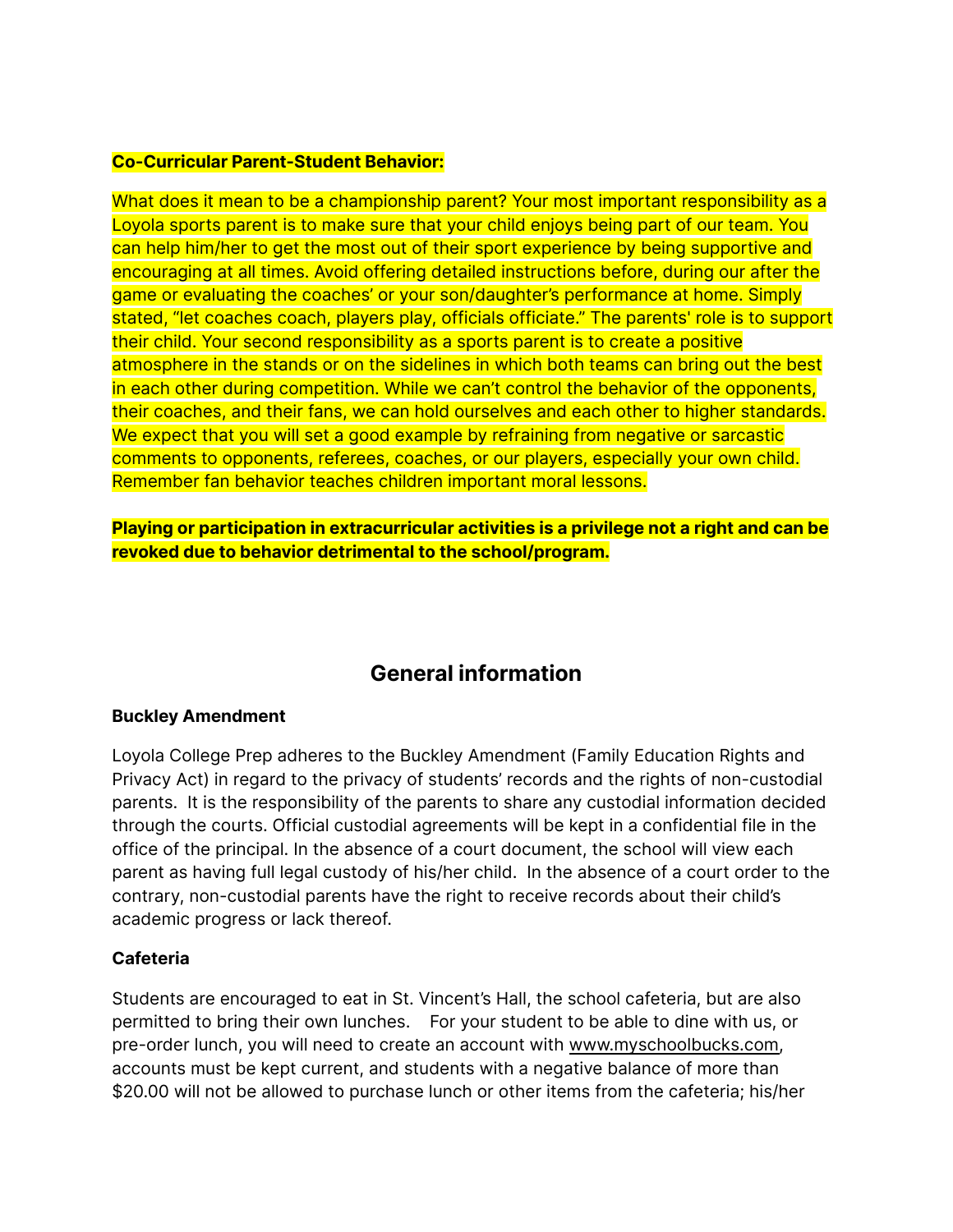#### **Co-Curricular Parent-Student Behavior:**

What does it mean to be a championship parent? Your most important responsibility as a Loyola sports parent is to make sure that your child enjoys being part of our team. You can help him/her to get the most out of their sport experience by being supportive and encouraging at all times. Avoid offering detailed instructions before, during our after the game or evaluating the coaches' or your son/daughter's performance at home. Simply stated, "let coaches coach, players play, officials officiate." The parents' role is to support their child. Your second responsibility as a sports parent is to create a positive atmosphere in the stands or on the sidelines in which both teams can bring out the best in each other during competition. While we can't control the behavior of the opponents, their coaches, and their fans, we can hold ourselves and each other to higher standards. We expect that you will set a good example by refraining from negative or sarcastic comments to opponents, referees, coaches, or our players, especially your own child. Remember fan behavior teaches children important moral lessons.

**Playing or participation in extracurricular activities is a privilege not a right and can be revoked due to behavior detrimental to the school/program.**

# **General information**

#### **Buckley Amendment**

Loyola College Prep adheres to the Buckley Amendment (Family Education Rights and Privacy Act) in regard to the privacy of students' records and the rights of non-custodial parents. It is the responsibility of the parents to share any custodial information decided through the courts. Official custodial agreements will be kept in a confidential file in the office of the principal. In the absence of a court document, the school will view each parent as having full legal custody of his/her child. In the absence of a court order to the contrary, non-custodial parents have the right to receive records about their child's academic progress or lack thereof.

#### **Cafeteria**

Students are encouraged to eat in St. Vincent's Hall, the school cafeteria, but are also permitted to bring their own lunches. For your student to be able to dine with us, or pre-order lunch, you will need to create an account with [www.myschoolbucks.com,](http://www.myschoolbucks.com) accounts must be kept current, and students with a negative balance of more than \$20.00 will not be allowed to purchase lunch or other items from the cafeteria; his/her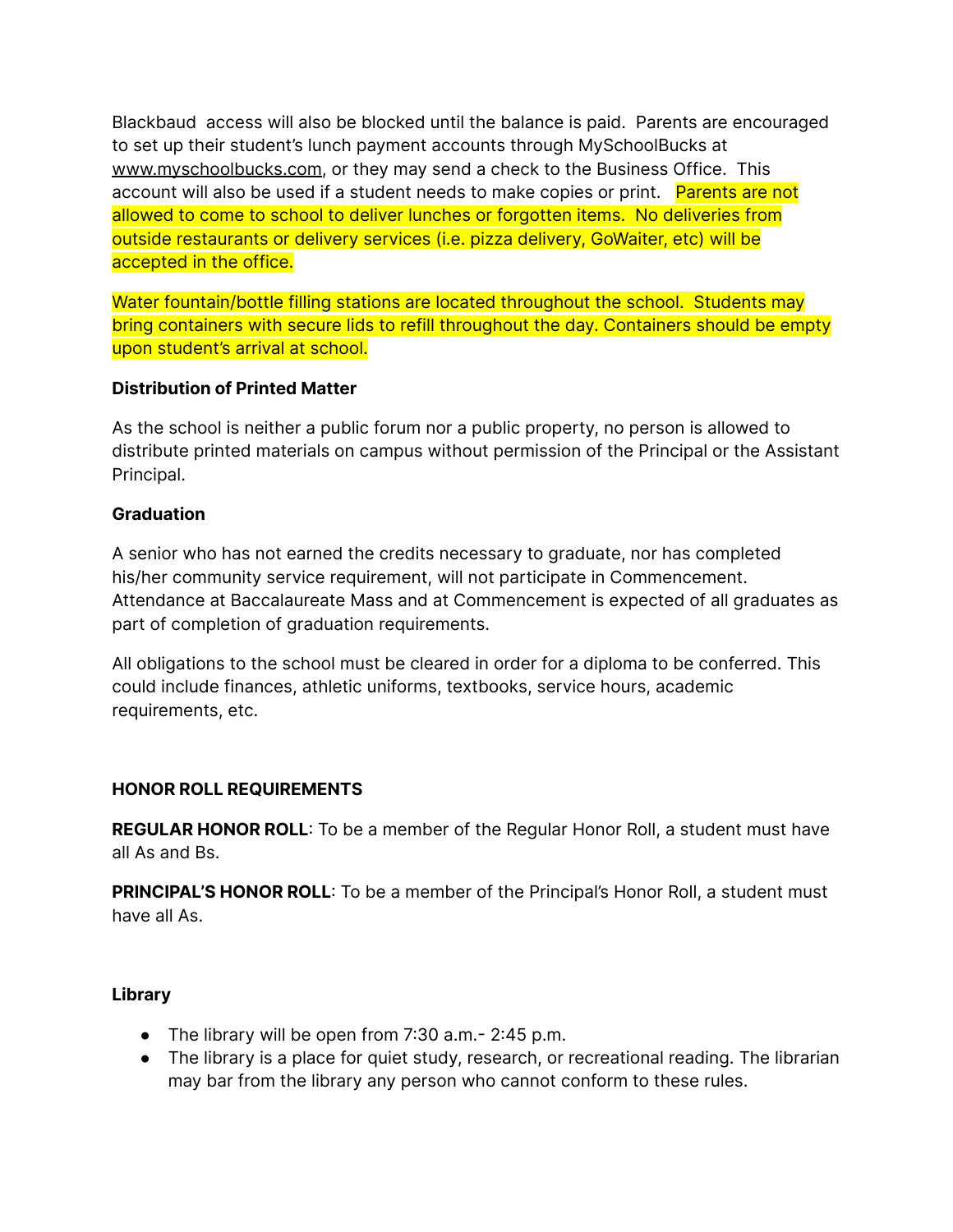Blackbaud access will also be blocked until the balance is paid. Parents are encouraged to set up their student's lunch payment accounts through MySchoolBucks at [www.myschoolbucks.com,](http://www.myschoolbucks.com) or they may send a check to the Business Office. This account will also be used if a student needs to make copies or print. Parents are not allowed to come to school to deliver lunches or forgotten items. No deliveries from outside restaurants or delivery services (i.e. pizza delivery, GoWaiter, etc) will be accepted in the office.

Water fountain/bottle filling stations are located throughout the school. Students may bring containers with secure lids to refill throughout the day. Containers should be empty upon student's arrival at school.

#### **Distribution of Printed Matter**

As the school is neither a public forum nor a public property, no person is allowed to distribute printed materials on campus without permission of the Principal or the Assistant Principal.

#### **Graduation**

A senior who has not earned the credits necessary to graduate, nor has completed his/her community service requirement, will not participate in Commencement. Attendance at Baccalaureate Mass and at Commencement is expected of all graduates as part of completion of graduation requirements.

All obligations to the school must be cleared in order for a diploma to be conferred. This could include finances, athletic uniforms, textbooks, service hours, academic requirements, etc.

#### **HONOR ROLL REQUIREMENTS**

**REGULAR HONOR ROLL**: To be a member of the Regular Honor Roll, a student must have all As and Bs.

**PRINCIPAL'S HONOR ROLL**: To be a member of the Principal's Honor Roll, a student must have all As.

#### **Library**

- **●** The library will be open from 7:30 a.m.- 2:45 p.m.
- **●** The library is a place for quiet study, research, or recreational reading. The librarian may bar from the library any person who cannot conform to these rules.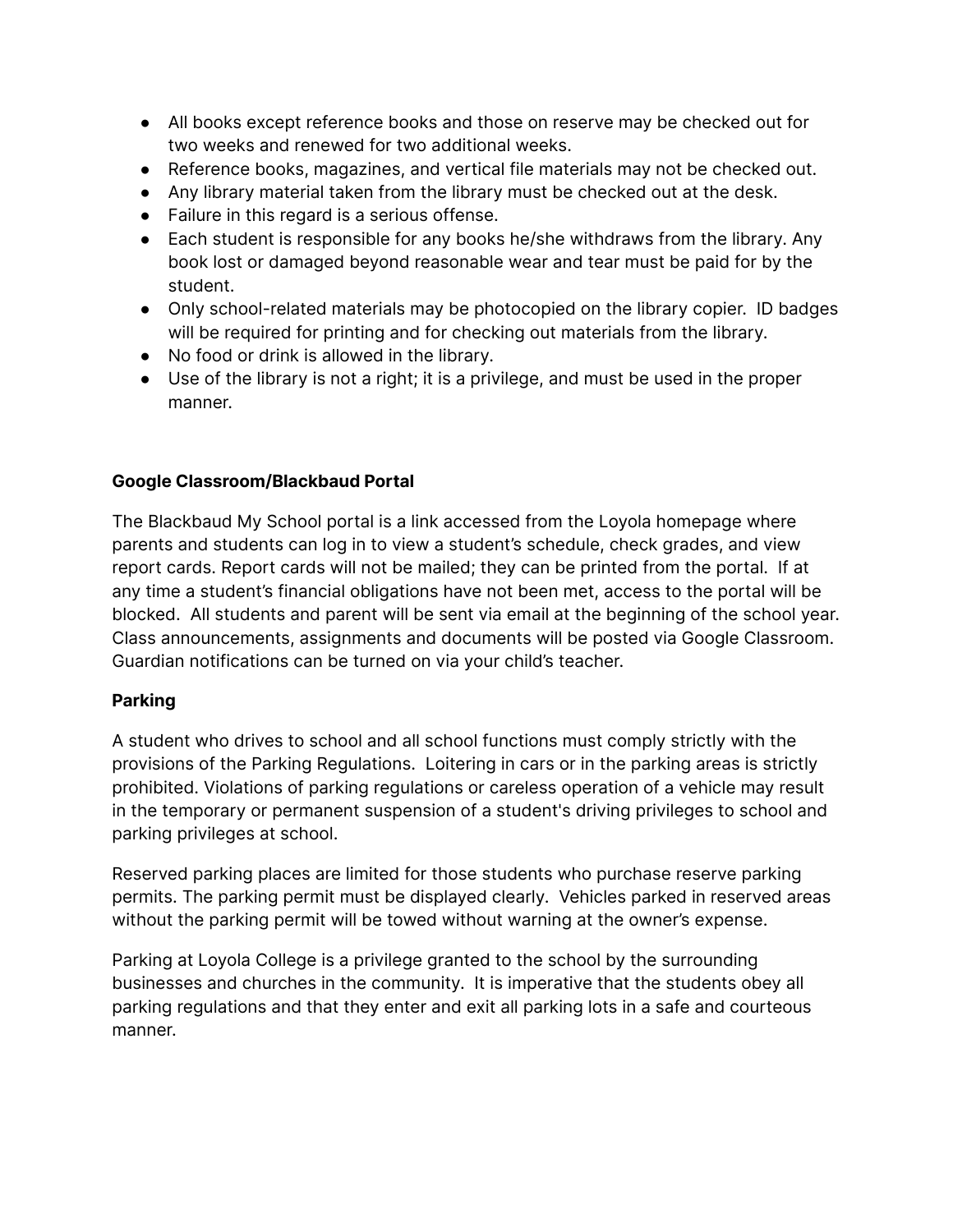- **●** All books except reference books and those on reserve may be checked out for two weeks and renewed for two additional weeks.
- **●** Reference books, magazines, and vertical file materials may not be checked out.
- **●** Any library material taken from the library must be checked out at the desk.
- **●** Failure in this regard is a serious offense.
- **●** Each student is responsible for any books he/she withdraws from the library. Any book lost or damaged beyond reasonable wear and tear must be paid for by the student.
- **●** Only school-related materials may be photocopied on the library copier. ID badges will be required for printing and for checking out materials from the library.
- **●** No food or drink is allowed in the library.
- **●** Use of the library is not a right; it is a privilege, and must be used in the proper manner.

#### **Google Classroom/Blackbaud Portal**

The Blackbaud My School portal is a link accessed from the Loyola homepage where parents and students can log in to view a student's schedule, check grades, and view report cards. Report cards will not be mailed; they can be printed from the portal. If at any time a student's financial obligations have not been met, access to the portal will be blocked. All students and parent will be sent via email at the beginning of the school year. Class announcements, assignments and documents will be posted via Google Classroom. Guardian notifications can be turned on via your child's teacher.

#### **Parking**

A student who drives to school and all school functions must comply strictly with the provisions of the Parking Regulations. Loitering in cars or in the parking areas is strictly prohibited. Violations of parking regulations or careless operation of a vehicle may result in the temporary or permanent suspension of a student's driving privileges to school and parking privileges at school.

Reserved parking places are limited for those students who purchase reserve parking permits. The parking permit must be displayed clearly. Vehicles parked in reserved areas without the parking permit will be towed without warning at the owner's expense.

Parking at Loyola College is a privilege granted to the school by the surrounding businesses and churches in the community. It is imperative that the students obey all parking regulations and that they enter and exit all parking lots in a safe and courteous manner.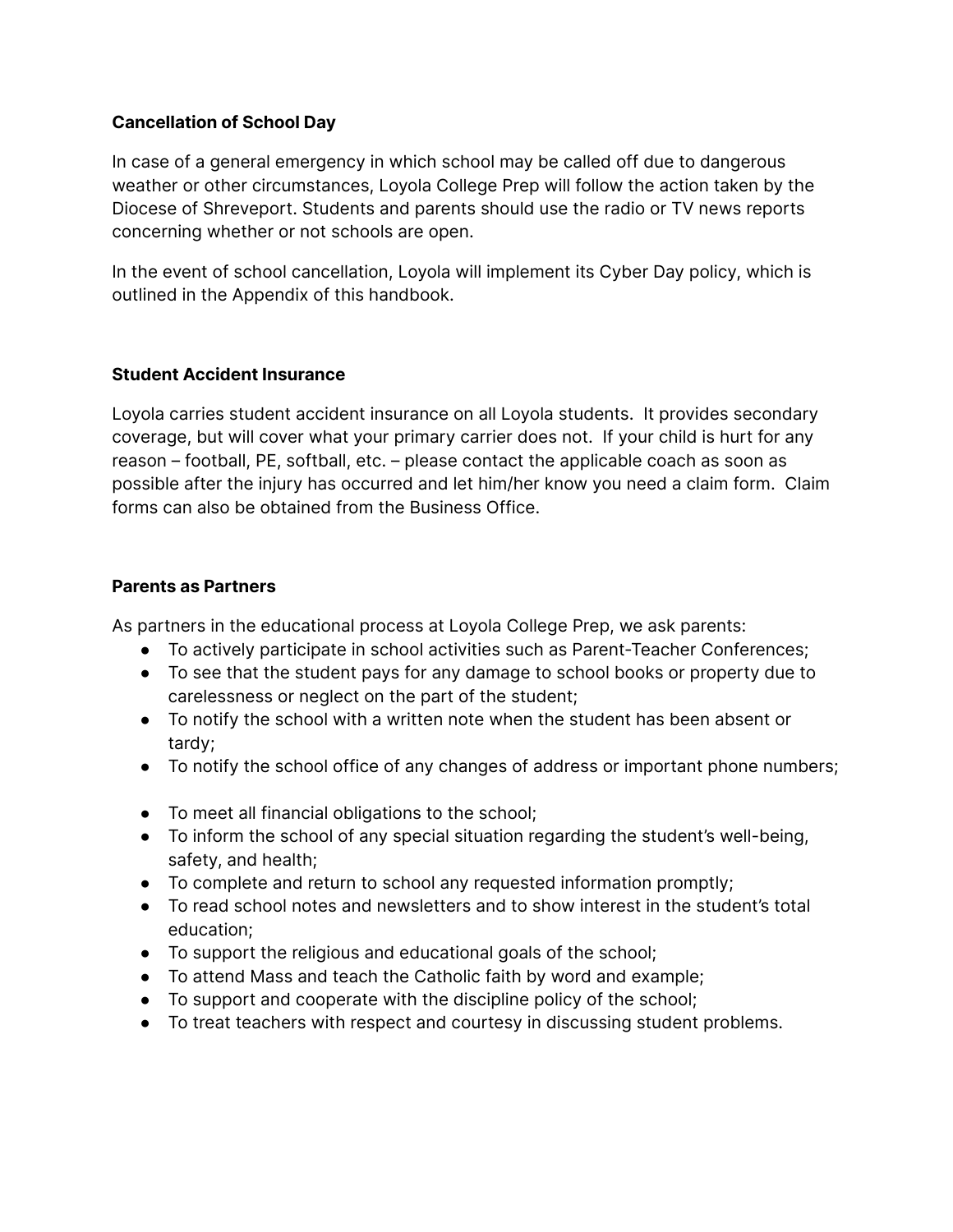#### **Cancellation of School Day**

In case of a general emergency in which school may be called off due to dangerous weather or other circumstances, Loyola College Prep will follow the action taken by the Diocese of Shreveport. Students and parents should use the radio or TV news reports concerning whether or not schools are open.

In the event of school cancellation, Loyola will implement its Cyber Day policy, which is outlined in the Appendix of this handbook.

#### **Student Accident Insurance**

Loyola carries student accident insurance on all Loyola students. It provides secondary coverage, but will cover what your primary carrier does not. If your child is hurt for any reason – football, PE, softball, etc. – please contact the applicable coach as soon as possible after the injury has occurred and let him/her know you need a claim form. Claim forms can also be obtained from the Business Office.

#### **Parents as Partners**

As partners in the educational process at Loyola College Prep, we ask parents:

- To actively participate in school activities such as Parent-Teacher Conferences;
- To see that the student pays for any damage to school books or property due to carelessness or neglect on the part of the student;
- To notify the school with a written note when the student has been absent or tardy;
- To notify the school office of any changes of address or important phone numbers;
- To meet all financial obligations to the school;
- To inform the school of any special situation regarding the student's well-being, safety, and health;
- To complete and return to school any requested information promptly;
- To read school notes and newsletters and to show interest in the student's total education;
- To support the religious and educational goals of the school;
- To attend Mass and teach the Catholic faith by word and example;
- To support and cooperate with the discipline policy of the school;
- To treat teachers with respect and courtesy in discussing student problems.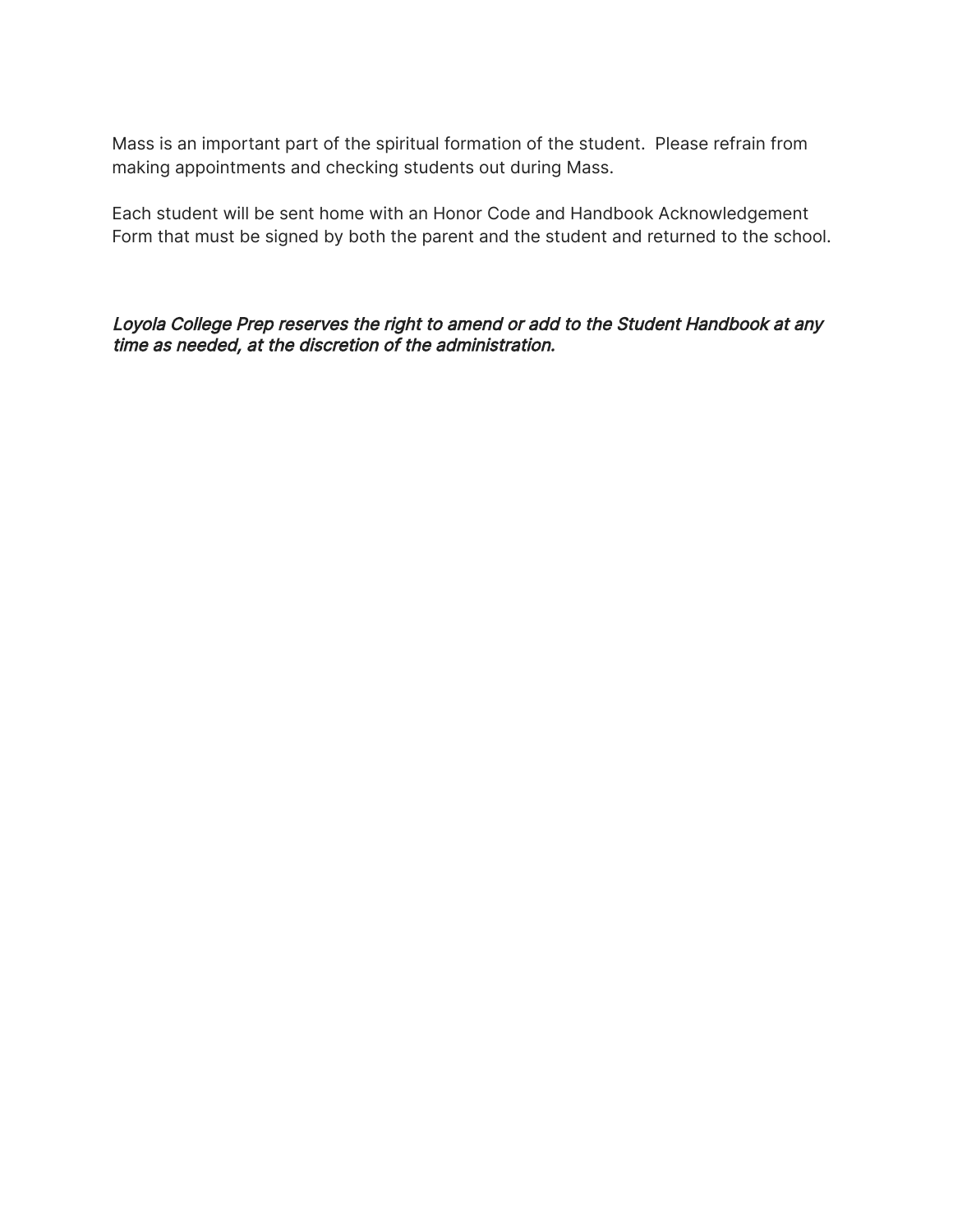Mass is an important part of the spiritual formation of the student. Please refrain from making appointments and checking students out during Mass.

Each student will be sent home with an Honor Code and Handbook Acknowledgement Form that must be signed by both the parent and the student and returned to the school.

Loyola College Prep reserves the right to amend or add to the Student Handbook at any time as needed, at the discretion of the administration.